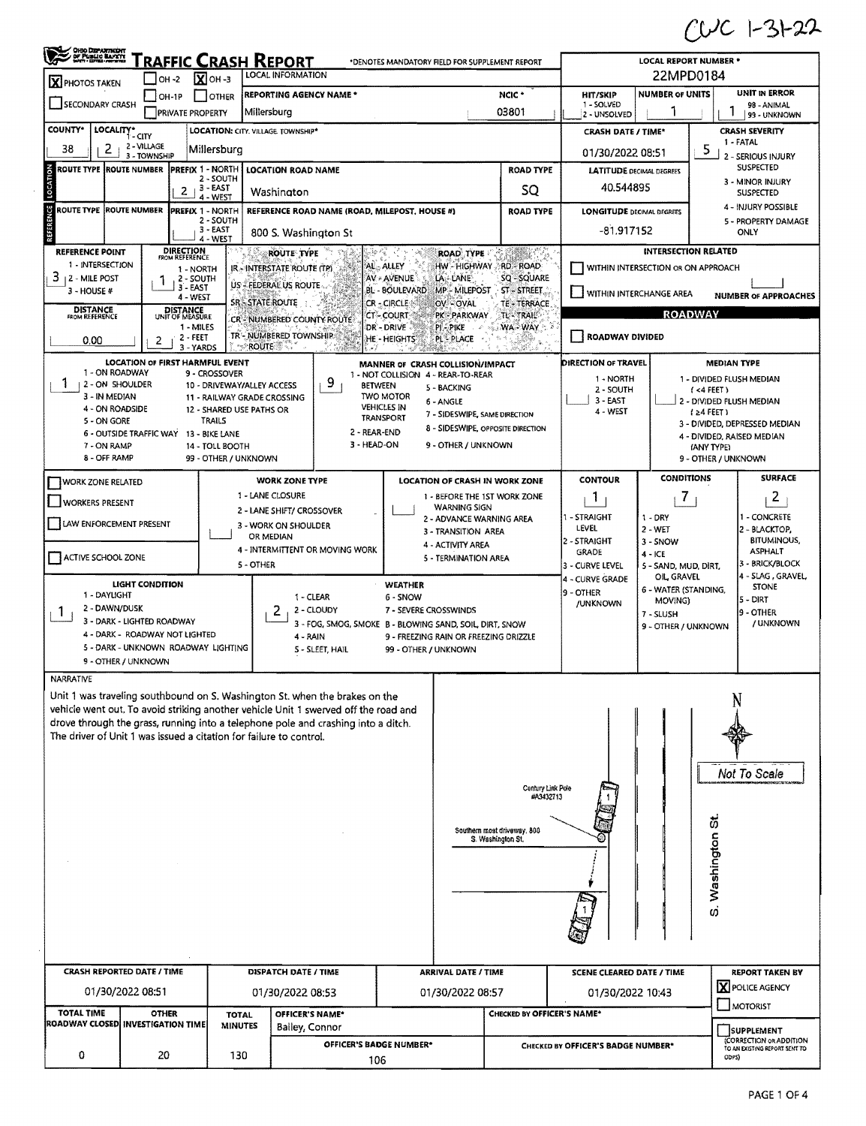$CUC$  1-31-22

| OHIO DEPARTMENT                                                                                                                                                    |                                        | $ OH - 2 $                         | $\overline{X}$ OH -3           | <b>FRAFFIC CRASH REPORT</b><br>LOCAL INFORMATION        |                                                                     |                               | *DENOTES MANDATORY FIELD FOR SUPPLEMENT REPORT                         |                                                  |                                    | <b>LOCAL REPORT NUMBER *</b><br>22MPD0184 |                     |                                                                                           |
|--------------------------------------------------------------------------------------------------------------------------------------------------------------------|----------------------------------------|------------------------------------|--------------------------------|---------------------------------------------------------|---------------------------------------------------------------------|-------------------------------|------------------------------------------------------------------------|--------------------------------------------------|------------------------------------|-------------------------------------------|---------------------|-------------------------------------------------------------------------------------------|
| <b>X</b> PHOTOS TAKEN                                                                                                                                              |                                        | OH-1P                              | <b>OTHER</b>                   | <b>REPORTING AGENCY NAME*</b>                           |                                                                     |                               |                                                                        | NCIC <sup>+</sup>                                | <b>HIT/SKIP</b>                    | <b>NUMBER OF UNITS</b>                    |                     | UNIT IN ERROR                                                                             |
| SECONDARY CRASH                                                                                                                                                    |                                        | <b>PRIVATE PROPERTY</b>            |                                | Millersburg                                             |                                                                     |                               |                                                                        | 03801                                            | 1 - SOLVED                         |                                           | L                   | 98 - ANIMAL                                                                               |
| <b>COUNTY*</b>                                                                                                                                                     |                                        |                                    |                                |                                                         |                                                                     |                               |                                                                        |                                                  | 2 - UNSOLVED                       |                                           |                     | 99 - UNKNOWN                                                                              |
|                                                                                                                                                                    | LOCALITY* CITY<br>2 - VILLAGE          |                                    |                                | LOCATION: CITY. VILLAGE. TOWNSHIP*                      |                                                                     |                               |                                                                        |                                                  | <b>CRASH DATE / TIME*</b>          |                                           |                     | <b>CRASH SEVERITY</b><br>1 - FATAL                                                        |
| 2.<br>38                                                                                                                                                           | 3 - TOWNSHIP                           |                                    | Millersburg                    |                                                         |                                                                     |                               |                                                                        |                                                  | 01/30/2022 08:51                   |                                           | 5                   | 2 - SERIOUS INJURY                                                                        |
| <b>ROUTE TYPE ROUTE NUMBER</b>                                                                                                                                     |                                        | <b>PREFIX 1 - NORTH</b>            | 2 - SOUTH                      | <b>LOCATION ROAD NAME</b>                               |                                                                     |                               |                                                                        | <b>ROAD TYPE</b>                                 | <b>LATITUDE DECIMAL DEGREES</b>    |                                           |                     | SUSPECTED                                                                                 |
|                                                                                                                                                                    |                                        | 2                                  | $, 3 - EAST$<br>4 - WEST       | Washington                                              |                                                                     |                               |                                                                        | SQ                                               | 40.544895                          |                                           |                     | 3 - MINOR INJURY<br><b>SUSPECTED</b>                                                      |
| <b>ROUTE TYPE</b>                                                                                                                                                  | <b>ROUTE NUMBER</b>                    | <b>PREFIX 1 - NORTH</b>            |                                |                                                         | REFERENCE ROAD NAME (ROAD, MILEPOST, HOUSE #)                       |                               |                                                                        | <b>ROAD TYPE</b>                                 | <b>LONGITUDE DECIMAL DEGREES</b>   |                                           |                     | 4 - INJURY POSSIBLE                                                                       |
|                                                                                                                                                                    |                                        |                                    | 2 - SOUTH<br>$3 - EAST$        |                                                         |                                                                     |                               |                                                                        |                                                  |                                    |                                           |                     | 5 - PROPERTY DAMAGE                                                                       |
|                                                                                                                                                                    |                                        |                                    | 4 - WEST                       | 800 S. Washington St                                    |                                                                     |                               |                                                                        |                                                  | -81.917152                         |                                           |                     | ONLY                                                                                      |
| <b>REFERENCE POINT</b><br>1 - INTERSECTION                                                                                                                         |                                        | <b>DIRECTION</b><br>FROM REFERENCE |                                | <b>ROUTE TYPE</b>                                       |                                                                     |                               | <b>ROAD TYPE</b>                                                       | 바め 지수는 어려워 먹었다.                                  |                                    | <b>INTERSECTION RELATED</b>               |                     |                                                                                           |
| 3<br><b>12 - MILE POST</b>                                                                                                                                         |                                        | 1 - NORTH<br>2 - SOUTH             |                                | IR - INTERSTATE ROUTE (TP)                              |                                                                     | AL-ALLEY<br>AV - AVENUE       | HW - HIGHWAY RD - ROAD<br>LA - LANE                                    | SQ-SQUARE                                        |                                    | WITHIN INTERSECTION OR ON APPROACH        |                     |                                                                                           |
| 3 - HOUSE #                                                                                                                                                        |                                        | 3 - EAST<br>4 - WEST               |                                | US - FEDERAL US ROUTE                                   |                                                                     | BL - BOULEVARD                | MP-MILEPOST                                                            | $ST-STREET$                                      | WITHIN INTERCHANGE AREA            |                                           |                     | <b>NUMBER OF APPROACHES</b>                                                               |
| <b>DISTANCE</b>                                                                                                                                                    |                                        | DISTANCE<br>UNIT OF MEASURE        |                                | <b>SR-STATE ROUTE</b>                                   |                                                                     | CR - CIRCLE                   | OV-OVAL                                                                | <b>TE-TERRACE</b>                                |                                    |                                           |                     |                                                                                           |
| FROM REFERENCE                                                                                                                                                     |                                        | 1 - MILES                          |                                | CR-NUMBERED COUNTY ROUTE                                |                                                                     | <b>CT-COURT</b><br>DR - DRIVE | PK - PARKWAY<br><b>PI PIKE</b>                                         | TL-TRAIL<br>WA-WAY:                              |                                    |                                           | <b>ROADWAY</b>      |                                                                                           |
| 0.00                                                                                                                                                               | 2                                      | 2 - FEET<br>3 - YARDS              |                                | TR'- NUMBERED TOWNSHIP<br>ా⊱ROUTE ® ృ                   |                                                                     | <b>HE-HEIGHTS</b>             | <b>PL-PLACE</b>                                                        |                                                  | <b>ROADWAY DIVIDED</b>             |                                           |                     |                                                                                           |
|                                                                                                                                                                    | <b>LOCATION OF FIRST HARMFUL EVENT</b> |                                    |                                |                                                         |                                                                     |                               |                                                                        |                                                  | DIRECTION OF TRAVEL                |                                           | <b>MEDIAN TYPE</b>  |                                                                                           |
| 1 - ON ROADWAY                                                                                                                                                     |                                        |                                    | 9 - CROSSOVER                  |                                                         |                                                                     |                               | MANNER OF CRASH COLLISION/IMPACT<br>1 - NOT COLLISION 4 - REAR-TO-REAR |                                                  | 1 - NORTH                          |                                           |                     | 1 - DIVIDED FLUSH MEDIAN                                                                  |
| 1<br>  2 - ON SHOULDER<br>3 - IN MEDIAN                                                                                                                            |                                        |                                    |                                | 10 - DRIVEWAY/ALLEY ACCESS                              | 9<br><b>BETWEEN</b>                                                 | <b>TWO MOTOR</b>              | 5 - BACKING                                                            |                                                  | 2 - SOUTH                          |                                           | $(44$ FEET)         |                                                                                           |
| 4 - ON ROADSIDE                                                                                                                                                    |                                        |                                    |                                | 11 - RAILWAY GRADE CROSSING<br>12 - SHARED USE PATHS OR |                                                                     | <b>VEHICLES IN</b>            | 6 - ANGLE<br>7 - SIDESWIPE, SAME DIRECTION                             |                                                  | $3 - EAST$<br>4 - WEST             |                                           | $(24$ FEET)         | 2 - DIVIDED FLUSH MEDIAN                                                                  |
| 5 - ON GORE                                                                                                                                                        |                                        |                                    | <b>TRAILS</b>                  |                                                         |                                                                     | TRANSPORT                     | 8 - SIDESWIPE, OPPOSITE DIRECTION                                      |                                                  |                                    |                                           |                     | 3 - DIVIDED, DEPRESSED MEDIAN                                                             |
| 7 - ON RAMP                                                                                                                                                        | 6 - OUTSIDE TRAFFIC WAY 13 - BIKE LANE |                                    | 14 - TOLL BOOTH                |                                                         | 2 - REAR-END<br>3 - HEAD-ON                                         |                               | 9 - OTHER / UNKNOWN                                                    |                                                  |                                    |                                           | (ANY TYPE)          | 4 - DIVIDED, RAISED MEDIAN                                                                |
| 8 - OFF RAMP                                                                                                                                                       |                                        |                                    | 99 - OTHER / UNKNOWN           |                                                         |                                                                     |                               |                                                                        |                                                  |                                    |                                           | 9 - OTHER / UNKNOWN |                                                                                           |
| WORK ZONE RELATED                                                                                                                                                  |                                        |                                    |                                | <b>WORK ZONE TYPE</b>                                   |                                                                     |                               | LOCATION OF CRASH IN WORK ZONE                                         |                                                  | <b>CONTOUR</b>                     | <b>CONDITIONS</b>                         |                     | <b>SURFACE</b>                                                                            |
| <b>WORKERS PRESENT</b>                                                                                                                                             |                                        |                                    |                                | 1 - LANE CLOSURE                                        |                                                                     |                               | 1 - BEFORE THE 1ST WORK ZONE                                           |                                                  | $\mathbf{1}$                       | $\mathcal{I}$                             |                     | 2                                                                                         |
|                                                                                                                                                                    |                                        |                                    |                                | 2 - LANE SHIFT/ CROSSOVER                               |                                                                     |                               | <b>WARNING SIGN</b><br>2 - ADVANCE WARNING AREA                        |                                                  | 1 - STRAIGHT                       | $1 - DRY$                                 |                     | 1 - CONCRETE                                                                              |
| LAW ENFORCEMENT PRESENT                                                                                                                                            |                                        |                                    |                                | 3 - WORK ON SHOULDER<br>OR MEDIAN                       |                                                                     |                               | 3 - TRANSITION AREA                                                    |                                                  | LEVEL                              | $2 - WET$                                 |                     | 2 - BLACKTOP,                                                                             |
|                                                                                                                                                                    |                                        |                                    |                                |                                                         | 4 - INTERMITTENT OR MOVING WORK                                     |                               | 4 - ACTIVITY AREA                                                      |                                                  | 2 - STRAIGHT<br><b>GRADE</b>       | 3 - SNOW<br>$4 - ICE$                     |                     | <b>BITUMINOUS,</b><br><b>ASPHALT</b>                                                      |
| ACTIVE SCHOOL ZONE                                                                                                                                                 |                                        |                                    |                                | 5 - OTHER                                               |                                                                     |                               | 5 - TERMINATION AREA                                                   |                                                  | 3 - CURVE LEVEL                    | 5 - SAND, MUD, DIRT,                      |                     | 3 - BRICK/BLOCK                                                                           |
|                                                                                                                                                                    | <b>LIGHT CONDITION</b>                 |                                    |                                |                                                         |                                                                     | WEATHER                       |                                                                        |                                                  | 4 - CURVE GRADE                    | OIL GRAVEL<br>6 - WATER (STANDING,        |                     | 4 - SLAG, GRAVEL,<br><b>STONE</b>                                                         |
| 1 - DAYLIGHT                                                                                                                                                       |                                        |                                    |                                |                                                         | 1 - CLEAR                                                           | 6 - SNOW                      |                                                                        |                                                  | 9 - OTHER<br>/UNKNOWN              | MOVING)                                   |                     | 15 - DIRT                                                                                 |
| 2 - DAWN/DUSK<br>-1                                                                                                                                                | 3 - DARK - LIGHTED ROADWAY             |                                    |                                | 2                                                       | 2 - CLOUDY                                                          | 7 - SEVERE CROSSWINDS         |                                                                        |                                                  |                                    | 7 - SLUSH                                 |                     | 9 - OTHER<br>/ UNKNOWN                                                                    |
|                                                                                                                                                                    | 4 - DARK - ROADWAY NOT LIGHTED         |                                    |                                |                                                         | 3 - FOG, SMOG, SMOKE B - BLOWING SAND, SOIL, DIRT, SNOW<br>4 - RAIN |                               | 9 - FREEZING RAIN OR FREEZING ORIZZLE                                  |                                                  |                                    | 9 - OTHER / UNKNOWN                       |                     |                                                                                           |
|                                                                                                                                                                    | 5 - DARK - UNKNOWN ROADWAY LIGHTING    |                                    |                                |                                                         | S - SLEET, HAIL                                                     | 99 - OTHER / UNKNOWN          |                                                                        |                                                  |                                    |                                           |                     |                                                                                           |
|                                                                                                                                                                    | 9 - OTHER / UNKNOWN                    |                                    |                                |                                                         |                                                                     |                               |                                                                        |                                                  |                                    |                                           |                     |                                                                                           |
| <b>NARRATIVE</b>                                                                                                                                                   |                                        |                                    |                                |                                                         |                                                                     |                               |                                                                        |                                                  |                                    |                                           |                     |                                                                                           |
| Unit 1 was traveling southbound on S. Washington St. when the brakes on the<br>vehicle went out. To avoid striking another vehicle Unit 1 swerved off the road and |                                        |                                    |                                |                                                         |                                                                     |                               |                                                                        |                                                  |                                    |                                           |                     |                                                                                           |
| drove through the grass, running into a telephone pole and crashing into a ditch.                                                                                  |                                        |                                    |                                |                                                         |                                                                     |                               |                                                                        |                                                  |                                    |                                           |                     |                                                                                           |
| The driver of Unit 1 was issued a citation for failure to control.                                                                                                 |                                        |                                    |                                |                                                         |                                                                     |                               |                                                                        |                                                  |                                    |                                           |                     |                                                                                           |
|                                                                                                                                                                    |                                        |                                    |                                |                                                         |                                                                     |                               |                                                                        |                                                  |                                    |                                           |                     |                                                                                           |
|                                                                                                                                                                    |                                        |                                    |                                |                                                         |                                                                     |                               |                                                                        |                                                  |                                    |                                           |                     | Not To Scale                                                                              |
|                                                                                                                                                                    |                                        |                                    |                                |                                                         |                                                                     |                               |                                                                        | Century Link Pole                                |                                    |                                           |                     |                                                                                           |
|                                                                                                                                                                    |                                        |                                    |                                |                                                         |                                                                     |                               |                                                                        | #A3432713                                        |                                    |                                           |                     |                                                                                           |
|                                                                                                                                                                    |                                        |                                    |                                |                                                         |                                                                     |                               |                                                                        |                                                  |                                    |                                           | ö,                  |                                                                                           |
|                                                                                                                                                                    |                                        |                                    |                                |                                                         |                                                                     |                               |                                                                        | Southern most driveway, 800<br>S. Washington St. |                                    |                                           |                     |                                                                                           |
|                                                                                                                                                                    |                                        |                                    |                                |                                                         |                                                                     |                               |                                                                        |                                                  |                                    |                                           | Washington          |                                                                                           |
|                                                                                                                                                                    |                                        |                                    |                                |                                                         |                                                                     |                               |                                                                        |                                                  |                                    |                                           |                     |                                                                                           |
|                                                                                                                                                                    |                                        |                                    |                                |                                                         |                                                                     |                               |                                                                        |                                                  |                                    |                                           |                     |                                                                                           |
|                                                                                                                                                                    |                                        |                                    |                                |                                                         |                                                                     |                               |                                                                        |                                                  |                                    |                                           | ω                   |                                                                                           |
|                                                                                                                                                                    |                                        |                                    |                                |                                                         |                                                                     |                               |                                                                        |                                                  |                                    |                                           |                     |                                                                                           |
|                                                                                                                                                                    |                                        |                                    |                                |                                                         |                                                                     |                               |                                                                        |                                                  |                                    |                                           |                     |                                                                                           |
|                                                                                                                                                                    |                                        |                                    |                                |                                                         |                                                                     |                               |                                                                        |                                                  |                                    |                                           |                     |                                                                                           |
|                                                                                                                                                                    |                                        |                                    |                                |                                                         |                                                                     |                               |                                                                        |                                                  |                                    |                                           |                     |                                                                                           |
| <b>CRASH REPORTED DATE / TIME</b>                                                                                                                                  |                                        |                                    |                                | <b>DISPATCH DATE / TIME</b>                             |                                                                     |                               | <b>ARRIVAL DATE / TIME</b>                                             |                                                  | <b>SCENE CLEARED DATE / TIME</b>   |                                           |                     |                                                                                           |
|                                                                                                                                                                    | 01/30/2022 08:51                       |                                    |                                | 01/30/2022 08:53                                        |                                                                     |                               | 01/30/2022 08:57                                                       |                                                  | 01/30/2022 10:43                   |                                           |                     | MOTORIST                                                                                  |
| <b>TOTAL TIME</b><br>ROADWAY CLOSED INVESTIGATION TIME                                                                                                             | <b>OTHER</b>                           |                                    | <b>TOTAL</b><br><b>MINUTES</b> |                                                         | OFFICER'S NAME*                                                     |                               |                                                                        | <b>CHECKED BY OFFICER'S NAME*</b>                |                                    |                                           |                     |                                                                                           |
|                                                                                                                                                                    |                                        |                                    |                                | Balley, Connor                                          |                                                                     |                               |                                                                        |                                                  |                                    |                                           |                     | <b>REPORT TAKEN BY</b><br><b>X</b> POLICE AGENCY<br>SUPPLEMENT<br>(CORRECTION OR ADDITION |
| 0                                                                                                                                                                  | 20                                     |                                    | 130                            |                                                         | OFFICER'S BADGE NUMBER*<br>106                                      |                               |                                                                        |                                                  | CHECKED BY OFFICER'S BADGE NUMBER* |                                           | ODPS)               | TO AN EXISTING REPORT SENT TO                                                             |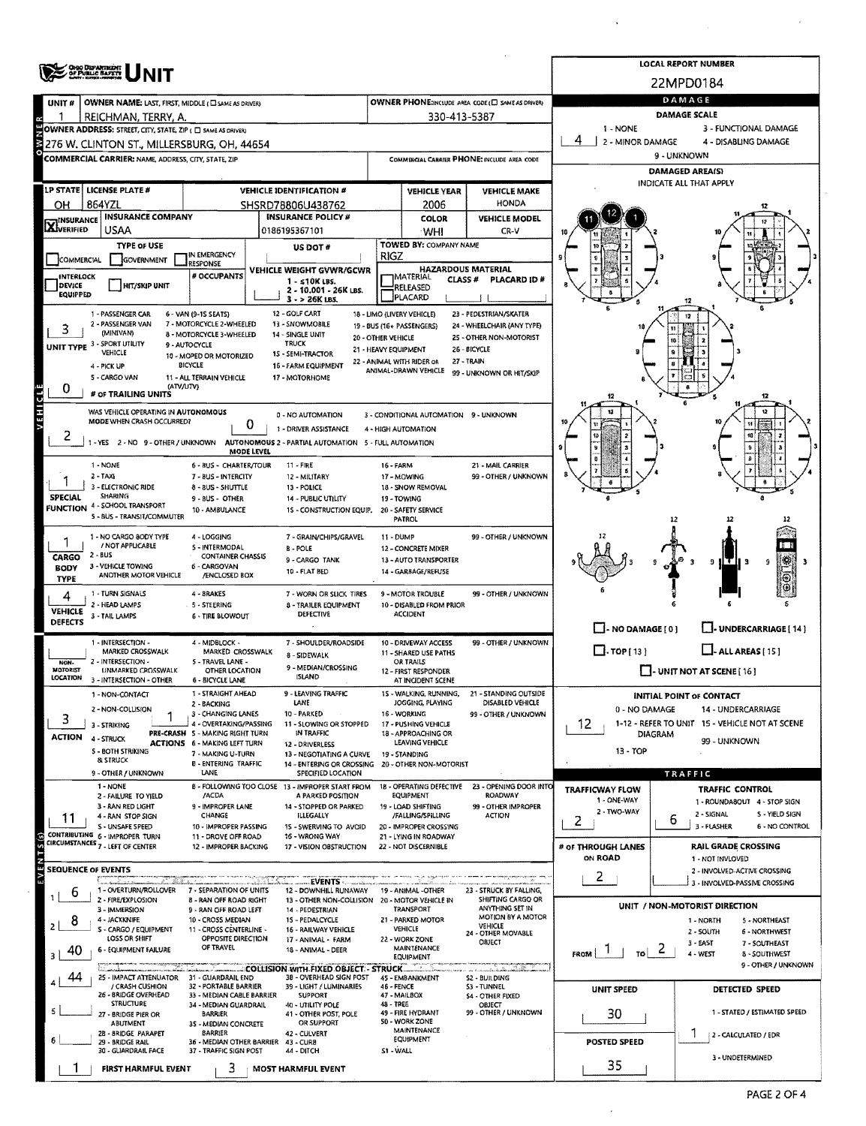|                             |                                                                                                          |                                                           |                                                                        |                      |                                                                    |                                                       |                                   | <b>LOCAL REPORT NUMBER</b>                              |
|-----------------------------|----------------------------------------------------------------------------------------------------------|-----------------------------------------------------------|------------------------------------------------------------------------|----------------------|--------------------------------------------------------------------|-------------------------------------------------------|-----------------------------------|---------------------------------------------------------|
|                             | <b>ONO DISPARTMENT</b><br>OF PUBLIC BAFETS                                                               |                                                           |                                                                        |                      |                                                                    |                                                       |                                   | 22MPD0184                                               |
| UNIT#                       | OWNER NAME: LAST, FIRST, MIDDLE ( C SAME AS DRIVER)                                                      |                                                           |                                                                        |                      |                                                                    | OWNER PHONE:INCLUDE AREA CODE (E) SAME AS DRIVERY     |                                   | DAMAGE                                                  |
|                             | REICHMAN, TERRY, A.                                                                                      |                                                           |                                                                        |                      | 330-413-5387                                                       |                                                       |                                   | DAMAGE SCALE                                            |
|                             | OWNER ADDRESS: STREET, CITY, STATE, ZIP ( O SAME AS DRIVER)                                              |                                                           |                                                                        |                      |                                                                    |                                                       | 1 - NONE<br>4<br>2 - MINOR DAMAGE | 3 - FUNCTIONAL DAMAGE<br>4 - DISABLING DAMAGE           |
|                             | 276 W. CLINTON ST., MILLERSBURG, OH, 44654<br><b>COMMERCIAL CARRIER: NAME, ADDRESS, CITY, STATE, ZIP</b> |                                                           |                                                                        |                      |                                                                    | COMMERCIAL CARRIER PHONE: INCLUDE AREA CODE           |                                   | 9 - UNKNOWN                                             |
|                             |                                                                                                          |                                                           |                                                                        |                      |                                                                    |                                                       |                                   | DAMAGED AREA(S)                                         |
| <b>LP STATE</b>             | <b>LICENSE PLATE #</b>                                                                                   |                                                           | <b>VEHICLE IDENTIFICATION #</b>                                        |                      | <b>VEHICLE YEAR</b>                                                | <b>VEHICLE MAKE</b>                                   |                                   | INDICATE ALL THAT APPLY                                 |
| он                          | 864YZL                                                                                                   |                                                           | SHSRD78806U438762                                                      |                      | 2006                                                               | <b>HONDA</b>                                          |                                   |                                                         |
| <b>X</b> INSURANCE          | <b>INSURANCE COMPANY</b><br>USAA                                                                         |                                                           | <b>INSURANCE POLICY #</b><br>0186195367101                             |                      | COLOR<br>WHI                                                       | <b>VEHICLE MODEL</b><br>CR-V                          |                                   |                                                         |
|                             | <b>TYPE OF USE</b>                                                                                       |                                                           | <b>US DOT#</b>                                                         |                      | TOWED BY: COMPANY NAME                                             |                                                       |                                   |                                                         |
| COMMERCIAL                  | GOVERNMENT                                                                                               | IN EMERGENCY<br>RESPONSE                                  |                                                                        | RIGZ                 |                                                                    |                                                       |                                   |                                                         |
| <b>INTERLOCK</b><br>DEVICE  | <b>HIT/SKIP UNIT</b>                                                                                     | # OCCUPANTS                                               | VEHICLE WEIGHT GVWR/GCWR<br>1 - ≤10K LBS.                              |                      | <b>HAZARDOUS MATERIAL</b><br><b>IMATERIAL</b><br>CLASS#            | PLACARD ID#                                           |                                   |                                                         |
| <b>EQUIPPED</b>             |                                                                                                          |                                                           | 2 - 10.001 - 26K LBS.<br>$3 - 26K$ LBS.                                |                      | RELEASED<br>PLACARD                                                |                                                       |                                   |                                                         |
|                             | 1 - PASSENGER CAR                                                                                        | 6 - VAN (9-15 SEATS)                                      | 12 - GOLF CART                                                         |                      | 18 - LIMO (LIVERY VEHICLE)                                         | 23 - PEDESTRIAN/SKATER                                |                                   | 12                                                      |
| 3                           | 2 - PASSENGER VAN<br><b>IMINIVANI</b>                                                                    | 7 - MOTORCYCLE 2-WHEELED<br>8 - MOTORCYCLE 3-WHEELED      | 13 - SNOWMOBILE<br>14 - SINGLE UNIT                                    | 20 - OTHER VEHICLE   | 19 - BUS (16+ PASSENGERS)                                          | 24 - WHEELCHAIR (ANY TYPE)<br>25 - OTHER NON-MOTORIST |                                   |                                                         |
|                             | UNIT TYPE 3 SPORT UTILITY<br><b>VEHICLE</b>                                                              | 9 - AUTOCYCLE                                             | TRUCK<br>15 - SEMI-TRACTOR                                             | 21 - HEAVY EQUIPMENT |                                                                    | 26 - BICYCLE                                          |                                   |                                                         |
|                             | 4 - PICK UP                                                                                              | 10 - MOPED OR MOTORIZED<br><b>BICYCLE</b>                 | 16 - FARM EQUIPMENT                                                    |                      | 22 - ANIMAL WITH RIDER OR<br>ANIMAL-DRAWN VEHICLE                  | 27 - TRAIN                                            |                                   |                                                         |
| 0                           | 5 - CARGO VAN<br>(ATV/UTV)                                                                               | 11 - ALL TERRAIN VEHICLE                                  | 17 - MOTORHOME                                                         |                      |                                                                    | 99 - UNKNOWN OR HIT/SKIP                              |                                   |                                                         |
|                             | # OF TRAILING UNITS                                                                                      |                                                           |                                                                        |                      |                                                                    |                                                       | 12                                | 12                                                      |
| <b>AEHICLE</b>              | WAS VEHICLE OPERATING IN AUTONOMOUS<br>MODE WHEN CRASH OCCURRED?                                         |                                                           | 0 - NO AUTOMATION                                                      |                      | 3 - CONDITIONAL AUTOMATION 9 - UNKNOWN                             |                                                       |                                   |                                                         |
|                             |                                                                                                          | 0                                                         | 1 - DRIVER ASSISTANCE                                                  |                      | 4 - HIGH AUTOMATION                                                |                                                       |                                   |                                                         |
|                             | -YES 2-NO 9-OTHER/UNKNOWN                                                                                | <b>MODE LEVEL</b>                                         | AUTONOMOUS 2 - PARTIAL AUTOMATION 5 - FULL AUTOMATION                  |                      |                                                                    |                                                       |                                   |                                                         |
|                             | 1 - NONE<br>$2 - TAXI$                                                                                   | 6 - 8US - CHARTER/TOUR<br>7 - 8US - INTERCITY             | 11 - FIRE<br>12 - MILITARY                                             |                      | 16 - FARM<br>17 - MOWING                                           | 21 - MAIL CARRIER<br>99 - OTHER / UNKNOWN             |                                   |                                                         |
|                             | 3 - ELECTRONIC RIDE                                                                                      | 8 - BUS - SHUTTLE                                         | 13 - POLICE                                                            |                      | 18 - SNOW REMOVAL                                                  |                                                       |                                   |                                                         |
| <b>SPECIAL</b>              | <b>SHARING</b><br><b>FUNCTION 4 - SCHOOL TRANSPORT</b>                                                   | 9 - BUS - OTHER<br>10 - AM8ULANCE                         | 14 - PUBLIC UTILITY<br>15 - CONSTRUCTION EQUIP.                        |                      | 19 - TOWING<br>20 - SAFETY SERVICE                                 |                                                       |                                   |                                                         |
|                             | 5 - BUS - TRANSIT/COMMUTER                                                                               |                                                           |                                                                        |                      | <b>PATROL</b>                                                      |                                                       |                                   | 12                                                      |
|                             | 1 - NO CARGO 8ODY TYPE                                                                                   | 4 - LOGGING                                               | 7 - GRAIN/CHIPS/GRAVEL                                                 |                      | 11 - DUMP                                                          | 99 - OTHER / UNKNOWN                                  |                                   |                                                         |
| CARGO                       | / NOT APPLICABLE<br>2 - BUS                                                                              | <b>S-INTERMODAL</b><br><b>CONTAINER CHASSIS</b>           | <b>B-POLE</b><br>9 - CARGO TANK                                        |                      | 12 - CONCRETE MIXER<br>13 - AUTO TRANSPORTER                       |                                                       |                                   | ۳<br>मा र                                               |
| <b>BODY</b>                 | 3 - VEHICLE TOWING<br>ANOTHER MOTOR VEHICLE                                                              | 6 - CARGOVAN<br>/ENCLOSED BOX                             | 10 - FLAT BED                                                          |                      | 14 - GARBAGE/REFUSE                                                |                                                       |                                   | 9<br>9<br>3<br>-3<br>⊛                                  |
| <b>TYPE</b><br>4            | 1 - TURN SIGNALS                                                                                         | 4 - BRAKES                                                | 7 - WORN OR SLICK TIRES                                                |                      | 9 - MOTOR TROUBLE                                                  | 99 - OTHER / UNKNOWN                                  |                                   |                                                         |
| <b>VEHICLE</b>              | 2 - HEAD LAMPS                                                                                           | 5 - STEERING                                              | 8 - TRAILER EQUIPMENT                                                  |                      | 10 - DISABLED FROM PRIOR<br><b>ACCIDENT</b>                        |                                                       |                                   |                                                         |
| DEFECTS                     | 3 - TAIL LAMPS                                                                                           | <b>6 - TIRE BLOWOUT</b>                                   | <b>DEFECTIVE</b>                                                       |                      |                                                                    |                                                       | $\Box$ - NO DAMAGE [ 0 ]          | J- UNDERCARRIAGE [ 14 ]                                 |
|                             | 1 - INTERSECTION -                                                                                       | 4 - MIDBLOCK -                                            | 7 - SHOULDER/ROADSIDE                                                  |                      | 10 - DRIVEWAY ACCESS                                               | 99 - OTHER / UNKNOWN                                  |                                   |                                                         |
| NON-                        | MARKED CROSSWALK<br>2 - INTERSECTION -                                                                   | MARKED CROSSWALK<br>5 - TRAVEL LANE -                     | 8 - SIDEWALK                                                           |                      | 11 - SHARED USE PATHS<br>OR TRAILS                                 |                                                       | $\Box$ TOP [13]                   | $\Box$ - ALL AREAS [ 15 ]                               |
| <b>MOTORIST</b><br>LOCATION | UNMARKED CROSSWALK<br>3 - INTERSECTION - OTHER                                                           | OTHER LOCATION<br><b>6 - BICYCLE LANE</b>                 | 9 - MEDIAN/CROSSING<br><b>ISLAND</b>                                   |                      | 12 - FIRST RESPONDER<br>AT INCIDENT SCENE                          |                                                       |                                   | I I- UNIT NOT AT SCENE [ 16 ]                           |
|                             | 1 - NON-CONTACT                                                                                          | 1 - STRAIGHT AHEAD                                        | 9 - LEAVING TRAFFIC                                                    |                      | 15 - WALKING, RUNNING,                                             | 21 - STANDING OUTSIDE                                 |                                   | <b>INITIAL POINT OF CONTACT</b>                         |
|                             | 2 - NON-COLLISION                                                                                        | 2 - BACKING<br>3 - CHANGING LANES                         | LANE<br>10 - PARKED                                                    |                      | JOGGING, PLAYING<br>16 - WORKING                                   | DISABLED VEHICLE<br>99 - OTHER / UNKNOWN              | 0 - NO DAMAGE                     | 14 - UNDERCARRIAGE                                      |
| 3                           | 3 - STRIKING                                                                                             | 4 - OVERTAKING/PASSING<br>PRE-CRASH S - MAKING RIGHT TURN | 11 - SLOWING OR STOPPED<br>IN TRAFFIC                                  |                      | 17 - PUSHING VEHICLE<br>18 - APPROACHING OR                        |                                                       | 12<br><b>DIAGRAM</b>              | 1-12 - REFER TO UNIT 15 - VEHICLE NOT AT SCENE          |
| <b>ACTION</b>               | 4 - STRUCK<br><b>S - BOTH STRIKING</b>                                                                   | <b>ACTIONS 6 - MAKING LEFT TURN</b>                       | 12 - DRIVERLESS                                                        |                      | LEAVING VEHICLE                                                    |                                                       | $13 - TOP$                        | 99 - UNKNOWN                                            |
|                             | <b>&amp; STRUCK</b>                                                                                      | 7 - MAKING U-TURN<br><b>B-ENTERING TRAFFIC</b>            | 13 - NEGOTIATING A CURVE                                               |                      | 19 - STANDING<br>14 - ENTERING OR CROSSING 20 - OTHER NON-MOTORIST |                                                       |                                   |                                                         |
|                             | 9 - OTHER / UNKNOWN<br>1 - NONE                                                                          | LANE                                                      | SPECIFIED LOCATION<br>B - FOLLOWING TOO CLOSE 13 - IMPROPER START FROM |                      | 18 - OPERATING DEFECTIVE                                           | 23 - OPENING DOOR INTO                                |                                   | TRAFFIC                                                 |
|                             | 2 - FAILURE TO YIELD<br>3 - RAN RED LIGHT                                                                | /ACDA<br>9 - IMPROPER LANE                                | A PARKED POSITION<br>14 - STOPPED OR PARKED                            |                      | EQUIPMENT<br>19 - LOAD SHIFTING                                    | ROADWAY<br>99 - OTHER IMPROPER                        | TRAFFICWAY FLOW<br>1 - ONE-WAY    | <b>TRAFFIC CONTROL</b><br>1 - ROUNDA8OUT 4 - STOP SIGN  |
| 11                          | 4 - RAN STOP SIGN                                                                                        | CHANGE                                                    | <b>ILLEGALLY</b>                                                       |                      | /FALLING/SPILLING                                                  | <b>ACTION</b>                                         | 2 - TWO-WAY<br>2.                 | 2 - SIGNAL<br>S - YIELD SIGN<br>6                       |
|                             | S - UNSAFE SPEED<br>CONTRIBUTING 6 - IMPROPER TURN                                                       | 10 - IMPROPER PASSING<br>11 - DROVE OFF ROAD              | 15 - SWERVING TO AVOID<br>16 - WRONG WAY                               |                      | 20 - IMPROPER CROSSING<br>21 - LYING IN ROADWAY                    |                                                       |                                   | 3 - FLASHER<br><b>6 - NO CONTROL</b>                    |
|                             | CIRCUMSTANCES 7 - LEFT OF CENTER                                                                         | 12 - IMPROPER BACKING                                     | 17 - VISION OBSTRUCTION                                                |                      | 22 - NOT DISCERNIBLE                                               |                                                       | # OF THROUGH LANES<br>ON ROAD     | <b>RAIL GRADE CROSSING</b>                              |
| <b>SEQUENCE OF EVENTS</b>   |                                                                                                          |                                                           |                                                                        |                      |                                                                    |                                                       |                                   | 1 - NOT INVLOVED<br>2 - INVOLVED-ACTIVE CROSSING        |
|                             | A. 153<br>لمستمح<br>1 - OVERTURN/ROLLOVER                                                                | 7 - SEPARATION OF UNITS                                   | <b>EVENTS</b><br>12 - DOWNHILL RUNAWAY                                 |                      | 19 - ANIMAL -OTHER                                                 | 23 - STRUCK BY FALLING,                               | 2                                 | 3 - INVOLVED-PASSIVE CROSSING                           |
| b                           | 2 - FIRE/EXPLOSION                                                                                       | 8 - RAN OFF ROAD RIGHT                                    | 13 - OTHER NON-COLLISION                                               |                      | 20 - MOTOR VEHICLE IN<br><b>TRANSPORT</b>                          | SHIFTING CARGO OR<br>ANYTHING SET IN                  |                                   | UNIT / NON-MOTORIST DIRECTION                           |
| 8                           | 3 - IMMERSION<br>4 - JACKKNIFE                                                                           | 9 - RAN OFF ROAD LEFT<br>10 - CROSS MEDIAN                | 14 - PEDESTRIAN<br>15 - PEDALCYCLE                                     |                      | 21 - PARKED MOTOR                                                  | MOTION BY A MOTOR<br>VEHICLE                          |                                   | 1 - NORTH<br>5 - NORTHEAST                              |
|                             | S - CARGO / EQUIPMENT<br>LOSS OR SHIFT                                                                   | 11 - CROSS CENTERLINE -<br>OPPOSITE DIRECTION             | <b>16 - RAILWAY VEHICLE</b><br>17 - ANIMAI - FARM                      |                      | <b>VEHICLE</b><br>22 - WORK ZONE                                   | 24 - OTHER MOVABLE<br>OBJECT                          |                                   | 2 - SOUTH<br>6 - NORTHWEST<br>3 - EAST<br>7 - SOUTHEAST |
| 40                          | <b>6 - EQUIPMENT FAILURE</b>                                                                             | OF TRAVEL                                                 | 18 - ANIMAL - DEER                                                     |                      | MAINTENANCE<br><b>EQUIPMENT</b>                                    |                                                       | FROM                              | 4 - WEST<br><b>8 - SOUTHWEST</b>                        |
| 44                          | 25 - IMPACT ATTENUATOR 31 - GUARDRAIL END                                                                |                                                           | COLLISION WITH FIXED OBJECT - STRUCK<br>38 - OVERHEAD SIGN POST        |                      | 45 - EMBANKMENT                                                    | a samalakan k<br>S2 - BUILDING                        |                                   | 9 - OTHER / UNKNOWN                                     |
|                             | / CRASH CUSHION<br>26 - BRIDGE OVERHEAD                                                                  | 32 - PORTABLE BARRIER<br>33 - MEDIAN CABLE BARRIER        | 39 - LIGHT / LUMINARIES<br><b>SUPPORT</b>                              |                      | 46 - FENCE<br>47 - MAILBOX                                         | <b>S3 - TUNNEL</b><br>54 - OTHER FIXED                | <b>UNIT SPEED</b>                 | DETECTED SPEED                                          |
|                             | <b>STRUCTURE</b>                                                                                         | 34 - MEDIAN GUARDRAIL                                     | 40 - UTILITY POLE                                                      |                      | 48 - TREE<br>49 - FIRE HYDRANT                                     | OBJECT<br>99 - OTHER / UNKNOWN                        |                                   | 1 - STATED / ESTIMATED SPEED                            |
|                             | 27 - BRIDGE PIER OR<br>ABUTMENT                                                                          | <b>BARRIER</b><br>35 - MEDIAN CONCRETE                    | 41 - OTHER POST, POLE<br>OR SUPPORT                                    |                      | 50 - WORK ZONE                                                     |                                                       | 30                                |                                                         |
|                             | 28 - BRIDGE PARAPET<br>29 - BRIDGE RAIL                                                                  | <b>BARRIER</b>                                            | 42 - CULVERT<br>36 - MEDIAN OTHER BARRIER 43 - CURB                    |                      | MAINTENANCE<br>EQUIPMENT                                           |                                                       | POSTED SPEED                      | 2 - CALCULATED / EDR                                    |
|                             | 30 - GLIARDRAIL FACE                                                                                     | 37 - TRAFFIC SIGN POST                                    | 44 - DITCH                                                             |                      | S1 - WALL                                                          |                                                       |                                   | 3 - UNDETERMINED                                        |
|                             | FIRST HARMFUL EVENT                                                                                      | 3                                                         | <b>MOST HARMFUL EVENT</b>                                              |                      |                                                                    |                                                       | 35                                |                                                         |

 $\mathbf{v} = \mathbf{v} \times \mathbf{v}$ 

 $\hat{\boldsymbol{\beta}}$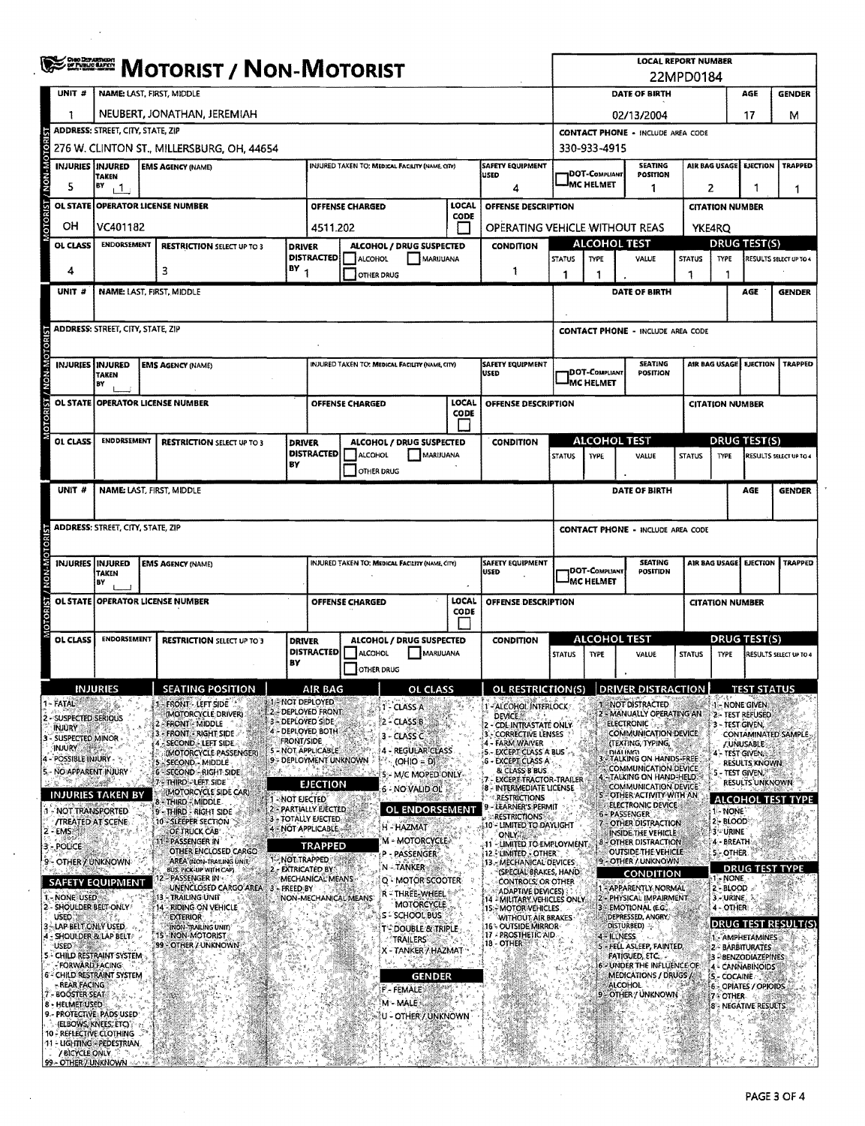| <sup>চুল্লা</sup> স্ক্রাজ্য / Non-Motorist<br>22MPD0184<br>UNIT#<br>NAME: LAST, FIRST, MIDDLE<br>DATE OF BIRTH<br>NEUBERT, JONATHAN, JEREMIAH<br>02/13/2004<br>ADDRESS: STREET, CITY, STATE, ZIP<br><b>CONTACT PHONE - INCLUDE AREA CODE</b><br>276 W. CLINTON ST., MILLERSBURG, OH, 44654<br>330-933-4915<br><b>INJURIES INJURED</b><br>SAFETY EQUIPMENT<br><b>SEATING</b><br><b>AIR BAG USAGE</b><br>INJURED TAKEN TO: MEDICAL FACILITY (NAME, CITY)<br><b>EMS AGENCY (NAME)</b><br><b>DOT-COMPLIANT</b><br>POSITION<br>USED<br>TAKEN<br><b>MC HELMET</b><br>5<br>BY<br>11<br>2<br>1<br>4<br>LOCAL<br>OL STATE OPERATOR LICENSE NUMBER<br><b>OFFENSE CHARGED</b><br>OFFENSE DESCRIPTION<br><b>CITATION NUMBER</b><br><b>CODE</b><br>OН<br>VC401182<br>4511.202<br>OPERATING VEHICLE WITHOUT REAS<br><b>YKE4RQ</b><br><b>ALCOHOL TEST</b><br><b>DRUG TEST(S)</b><br>ENDORSEMENT<br>OL CLASS<br>ALCOHOL / DRUG SUSPECTED<br><b>CONDITION</b><br><b>RESTRICTION SELECT UP TO 3</b><br><b>DRIVER</b><br><b>DISTRACTED!</b><br>ALCOHOL<br>MARUUANA<br><b>STATUS</b><br><b>TYPE</b><br>VALUE<br><b>STATUS</b><br><b>TYPE</b><br>BY <sub>1</sub><br>3<br>4<br>1<br><b>OTHER DRUG</b><br>1<br>1<br>ำ<br>NAME: LAST, FIRST, MIDDLE<br>UNIT #<br>DATE OF BIRTH<br><b>ADDRESS: STREET, CITY, STATE, ZIP</b><br><b>CONTACT PHONE - INCLUDE AREA CODE</b><br><b>SEATING</b><br>AIR BAG USAGE<br><b>INJURIES INJURED</b><br>INJURED TAKEN TO: MEDICAL FACILITY (NAME, CITY)<br>SAFETY EQUIPMENT<br><b>EMS AGENCY (NAME)</b><br><b>DOT-Com</b> pliant<br>POSITION<br>USED<br><b>TAKEN</b><br>MC HELMET<br>BY<br>LOCAL<br>OL STATE OPERATOR LICENSE NUMBER<br>OFFENSE DESCRIPTION<br><b>OFFENSE CHARGED</b><br><b>CITATION NUMBER</b><br><b>CODE</b><br><b>ALCOHOL TEST</b><br><b>DRUG TEST(S)</b><br><b>ENDORSEMENT</b><br>OL CLASS<br><b>ALCOHOL / DRUG SUSPECTED</b><br><b>DRIVER</b><br><b>CONDITION</b><br><b>RESTRICTION SELECT UP TO 3</b><br>DISTRACTED<br>MARUUANA<br><b>ALCOHOL</b><br>VALUE<br><b>STATUS</b><br><b>STATUS</b><br><b>TYPE</b><br>TYPE<br>BY<br>OTHER DRUG<br>UNIT #<br>NAME: LAST, FIRST, MIDDLE<br>DATE OF BIRTH<br><b>ADDRESS: STREET, CITY, STATE, ZIP</b><br><b>CONTACT PHONE - INCLUDE AREA CODE</b><br><b>INJURIES INJURED</b><br><b>SEATING</b><br><b>EMS AGENCY (NAME)</b><br>INJURED TAKEN TO; MEDICAL FACILITY (NAME, CITY)<br><b>SAFETY EQUIPMENT</b><br>AIR BAG USAGE<br>DOT-Compliant<br>POSITION<br>USED<br><b>TAKEN</b><br>MC HELMET<br>BY<br>OL STATE OPERATOR LICENSE NUMBER<br>LOCAL<br>¥<br>OFFENSE DESCRIPTION<br>OFFENSE CHARGED<br><b>CITATION NUMBER</b><br>CODE<br><b>ALCOHOL TEST</b><br><b>DRUG TEST(S)</b><br><b>ENDORSEMENT</b><br><b>OL CLASS</b><br>ALCOHOL / DRUG SUSPECTED<br>CONDITION<br><b>RESTRICTION SELECT UP TO 3</b><br><b>DRIVER</b><br><b>DISTRACTED</b><br><b>I</b> ALCOHOL<br>MARUUANA<br><b>STATUS</b><br><b>TYPE</b><br>VALUE<br><b>STATUS</b><br><b>TYPE</b><br>BΥ<br>OTHER DRUG<br><b>SEATING POSITION</b><br><b>INJURIES</b><br>AIR BAG<br>OL CLASS<br>OL RESTRICTION(S)<br><b>DRIVER DISTRACTION</b><br>1-NOT DEPLOYED<br>1-FATAL<br>1 - FRONT - LEFT SIDE<br>1 - NOT DISTRACTED<br>1 - NONE GIVEN<br>1-ALCOHOL INTERLOCK<br>1 - CLASS A<br>2-DEPLOYED FRONT<br>(MOTORCYCLE DRIVER)<br>2 - MANUALLY OPERATING AN<br><b>DEVICE</b><br>2 - SUSPECTED SERIOUS<br>2 - CLASS B<br>3 - DEPLOYED SIDE<br><b>FRONT - MIDDLE</b><br><b>ELECTRONIC:</b><br>3 - TEST GIVEN,<br>2 - CDL INTRASTATE ONLY<br><b>INJURY</b><br>4 - DEPLOYED BOTH<br>3 - FRONT - RIGHT SIDE<br><b>COMMUNICATION DEVICE</b><br><b>CORRECTIVE LENSES</b><br>E.<br>3 - CLASS C<br>- SUSPECTED MINOR<br><b>FRONT/SIDE</b><br>4 - FARM WAIVER<br>4 - SECOND - LEFT SIDE<br>(TEXTING, TYPING,<br>/ UNUSABLE<br><b>INJURY</b><br>5 - NOT APPLICABLE<br>4 - REGULAR CLASS<br>5. EXCEPT CLASS A BUS -<br>(MOTORCYCLE PASSENGER)<br><b>DIALING</b><br><b>TALKING ON HANDS-FREE</b><br>4 - POSSIBLE INJURY<br>9 - DEPLOYMENT UNKNOWN<br>$(OHIO = DI$<br><b>6 - EXCEPT CLASS A</b><br>- SECOND - MIDDLE<br><b>RESULTS KNOWN</b><br>COMMUNICATION DEVICE<br>& CLASS B BUS.<br>5. - NO APPARENT INJURY<br>6 - SECOND - RIGHT SIDE<br>5 - M/C MOPED ONLY-<br>4 - TALKING ON HAND HELD.<br><b>EXCEPT TRACTOR-TRAILER</b><br>7 - THIRD - LEFT SIDE<br><b>EJECTION</b><br>COMMUNICATION DEVICE<br>6 NO VALID OL<br>8 - INTERMEDIATE LICENSE<br>(MOTORCYCLE SIDE CAR)<br><b>INJURIES TAKEN BY</b><br>S - OTHER ACTIVITY WITH AN<br><b>RESTRICTIONS</b><br>- NOT EJECTED<br>8 - Third - Middle<br>ELECTRONIC DEVICE<br>LEARNER'S PERMIT<br>2 - PARTIALLY EJECTED<br>OL ENDORSEMENT<br>1 - NOT TRANSPORTED<br>1 - NONE<br><b>9 THIRD RIGHT SIDE are</b><br>6-PASSENGER<br><b>RESTRICTIONS</b><br>3 - TOTALLY EJECTED<br><b><i>TREATED AT SCENE</i></b><br>10 - SLEEPER SECTION<br>2 - BLOOD<br>7 - OTHER DISTRACTION<br>10 - LIMITED TO DAYLIGHT<br>H - HAZMAT<br>4 - NOT APPLICABLE<br>2 - EMSI<br>OF TRUCK CAB<br><b>3-URINE</b><br>INSIDE THE VEHICLE<br><b>ONLY NEW</b><br>M - MOTORCYCLE<br>11 - PASSENGER IN<br>4 - BREATH<br>8 - OTHER DISTRACTION<br>11 - LIMITED TO EMPLOYMENT.<br>3 - POLICE<br><b>TRAPPED</b><br>OTHER ENCLOSED CARGO<br>OUTSIDE THE VEHICLE<br><b>S-OTHER</b><br>12. LIMITED OTHER<br>P - PASSENGER<br>1-NOT TRAPPED<br>9 - OTHER / UNKNOWN<br>9 - OTHER / UNKNOWN<br>AREA (NON-TRAILING UNIT)<br>13. MECHANICAL DEVICES<br>N-TANKER<br>2 - EXTRICATED BY<br>BUS, PICK-UP WITH CAPI<br>(SPECIAL BRAKES, HAND)<br><b>CONDITION</b><br>- PASSENGER IN -<br>1 - NONE<br>MECHANICAL MEANS<br>Q - MOTOR SCOOTER<br>CONTROLS, OR OTHER<br><b>SAFETY EQUIPMENT</b><br>UNENCLOSED CARGO AREA 3 - FREED BY<br>1 - APPARENTLY NORMAL<br>$2 - BLOOD$<br>ADAPTIVE DEVICES)<br>r = Three-Wheel  <br>I. - NONE USED *<br>13 - TRAILING UNIT<br>NON-MECHANICAL MEANS<br>2 - PHYSICAL IMPAIRMENT<br>3-JURINE<br>14 - MILITARY VEHICLES ONLY<br><b>MOTORCYCLE</b><br>2 - SHOULDER BELT-ONLY<br>14 - RIDING ON VEHICLE<br>3 - EMOTIONAL (E.G.,<br>4-OTHER<br>15 - MOTOR VEHICLES<br><b>S-SCHOOL BUS</b><br><b>USED: 28</b><br><b>EXTERIOR</b><br>DEPRESSED, ANGRY,<br>WITHOUT AIR BRAKES<br>DRUG TEST RESULT(S)<br>disturbed) - -<br>- LAP BELT, ONLY USED.<br>16 - OUTSIDE MIRROR-<br>(NON-TRAILING UNIT)<br><b>T'-DOUBLE &amp; TRIPLE</b><br>17 - PROSTHETIC AID.<br>15 - NON-MOTORIST<br>4 - SHOULDER & LAP BELT<br>4 - ILLNESS<br>TRAILERS<br>18 - OTHER<br>99 - OTHER / UNKNOWN<br><b>USED</b><br>5 - FELL ASLEEP, FAINTED,<br>X-TANKER / HAZMAT<br>5 - CHILD RESTRAINT SYSTEM<br>FATIGUED, ETC. | <b>LOCAL REPORT NUMBER</b>            |                               |  |  |               |                |  |   |  |  |  |  |  |  |  |  |  |  |  |  |  |  |  |  |  |  |  |  |  |  |  |  |  |  |  |  |  |  |  |  |  |  |  |  |  |  |  |  |  |  |  |  |  |
|--------------------------------------------------------------------------------------------------------------------------------------------------------------------------------------------------------------------------------------------------------------------------------------------------------------------------------------------------------------------------------------------------------------------------------------------------------------------------------------------------------------------------------------------------------------------------------------------------------------------------------------------------------------------------------------------------------------------------------------------------------------------------------------------------------------------------------------------------------------------------------------------------------------------------------------------------------------------------------------------------------------------------------------------------------------------------------------------------------------------------------------------------------------------------------------------------------------------------------------------------------------------------------------------------------------------------------------------------------------------------------------------------------------------------------------------------------------------------------------------------------------------------------------------------------------------------------------------------------------------------------------------------------------------------------------------------------------------------------------------------------------------------------------------------------------------------------------------------------------------------------------------------------------------------------------------------------------------------------------------------------------------------------------------------------------------------------------------------------------------------------------------------------------------------------------------------------------------------------------------------------------------------------------------------------------------------------------------------------------------------------------------------------------------------------------------------------------------------------------------------------------------------------------------------------------------------------------------------------------------------------------------------------------------------------------------------------------------------------------------------------------------------------------------------------------------------------------------------------------------------------------------------------------------------------------------------------------------------------------------------------------------------------------------------------------------------------------------------------------------------------------------------------------------------------------------------------------------------------------------------------------------------------------------------------------------------------------------------------------------------------------------------------------------------------------------------------------------------------------------------------------------------------------------------------------------------------------------------------------------------------------------------------------------------------------------------------------------------------------------------------------------------------------------------------------------------------------------------------------------------------------------------------------------------------------------------------------------------------------------------------------------------------------------------------------------------------------------------------------------------------------------------------------------------------------------------------------------------------------------------------------------------------------------------------------------------------------------------------------------------------------------------------------------------------------------------------------------------------------------------------------------------------------------------------------------------------------------------------------------------------------------------------------------------------------------------------------------------------------------------------------------------------------------------------------------------------------------------------------------------------------------------------------------------------------------------------------------------------------------------------------------------------------------------------------------------------------------------------------------------------------------------------------------------------------------------------------------------------------------------------------------------------------------------------------------------------------------------------------------------------------------------------------------------------------------------------------------------------------------------------------------------------------------------------------------------------------------------------------------------------------------------------------------------------------------------------------------------------------------------------------------------------------------------------------------------------------------------------------------------------------------------------------------------------------------------------------------------------------------------------------------------------------------------------------------------------------------------------------------------------------------------------------------------------------------------------------------------------------------------------------------------------------------------------------------------------------------------------------------------------------------------------------------------------------------------------------------------------------------------------------------------|---------------------------------------|-------------------------------|--|--|---------------|----------------|--|---|--|--|--|--|--|--|--|--|--|--|--|--|--|--|--|--|--|--|--|--|--|--|--|--|--|--|--|--|--|--|--|--|--|--|--|--|--|--|--|--|--|--|--|--|--|
|                                                                                                                                                                                                                                                                                                                                                                                                                                                                                                                                                                                                                                                                                                                                                                                                                                                                                                                                                                                                                                                                                                                                                                                                                                                                                                                                                                                                                                                                                                                                                                                                                                                                                                                                                                                                                                                                                                                                                                                                                                                                                                                                                                                                                                                                                                                                                                                                                                                                                                                                                                                                                                                                                                                                                                                                                                                                                                                                                                                                                                                                                                                                                                                                                                                                                                                                                                                                                                                                                                                                                                                                                                                                                                                                                                                                                                                                                                                                                                                                                                                                                                                                                                                                                                                                                                                                                                                                                                                                                                                                                                                                                                                                                                                                                                                                                                                                                                                                                                                                                                                                                                                                                                                                                                                                                                                                                                                                                                                                                                                                                                                                                                                                                                                                                                                                                                                                                                                                                                                                                                                                                                                                                                                                                                                                                                                                                                                                                                                                                                                          | AGE                                   | <b>GENDER</b>                 |  |  |               |                |  |   |  |  |  |  |  |  |  |  |  |  |  |  |  |  |  |  |  |  |  |  |  |  |  |  |  |  |  |  |  |  |  |  |  |  |  |  |  |  |  |  |  |  |  |  |  |
|                                                                                                                                                                                                                                                                                                                                                                                                                                                                                                                                                                                                                                                                                                                                                                                                                                                                                                                                                                                                                                                                                                                                                                                                                                                                                                                                                                                                                                                                                                                                                                                                                                                                                                                                                                                                                                                                                                                                                                                                                                                                                                                                                                                                                                                                                                                                                                                                                                                                                                                                                                                                                                                                                                                                                                                                                                                                                                                                                                                                                                                                                                                                                                                                                                                                                                                                                                                                                                                                                                                                                                                                                                                                                                                                                                                                                                                                                                                                                                                                                                                                                                                                                                                                                                                                                                                                                                                                                                                                                                                                                                                                                                                                                                                                                                                                                                                                                                                                                                                                                                                                                                                                                                                                                                                                                                                                                                                                                                                                                                                                                                                                                                                                                                                                                                                                                                                                                                                                                                                                                                                                                                                                                                                                                                                                                                                                                                                                                                                                                                                          | 17                                    |                               |  |  |               |                |  | м |  |  |  |  |  |  |  |  |  |  |  |  |  |  |  |  |  |  |  |  |  |  |  |  |  |  |  |  |  |  |  |  |  |  |  |  |  |  |  |  |  |  |  |  |  |
|                                                                                                                                                                                                                                                                                                                                                                                                                                                                                                                                                                                                                                                                                                                                                                                                                                                                                                                                                                                                                                                                                                                                                                                                                                                                                                                                                                                                                                                                                                                                                                                                                                                                                                                                                                                                                                                                                                                                                                                                                                                                                                                                                                                                                                                                                                                                                                                                                                                                                                                                                                                                                                                                                                                                                                                                                                                                                                                                                                                                                                                                                                                                                                                                                                                                                                                                                                                                                                                                                                                                                                                                                                                                                                                                                                                                                                                                                                                                                                                                                                                                                                                                                                                                                                                                                                                                                                                                                                                                                                                                                                                                                                                                                                                                                                                                                                                                                                                                                                                                                                                                                                                                                                                                                                                                                                                                                                                                                                                                                                                                                                                                                                                                                                                                                                                                                                                                                                                                                                                                                                                                                                                                                                                                                                                                                                                                                                                                                                                                                                                          |                                       |                               |  |  |               |                |  |   |  |  |  |  |  |  |  |  |  |  |  |  |  |  |  |  |  |  |  |  |  |  |  |  |  |  |  |  |  |  |  |  |  |  |  |  |  |  |  |  |  |  |  |  |  |
|                                                                                                                                                                                                                                                                                                                                                                                                                                                                                                                                                                                                                                                                                                                                                                                                                                                                                                                                                                                                                                                                                                                                                                                                                                                                                                                                                                                                                                                                                                                                                                                                                                                                                                                                                                                                                                                                                                                                                                                                                                                                                                                                                                                                                                                                                                                                                                                                                                                                                                                                                                                                                                                                                                                                                                                                                                                                                                                                                                                                                                                                                                                                                                                                                                                                                                                                                                                                                                                                                                                                                                                                                                                                                                                                                                                                                                                                                                                                                                                                                                                                                                                                                                                                                                                                                                                                                                                                                                                                                                                                                                                                                                                                                                                                                                                                                                                                                                                                                                                                                                                                                                                                                                                                                                                                                                                                                                                                                                                                                                                                                                                                                                                                                                                                                                                                                                                                                                                                                                                                                                                                                                                                                                                                                                                                                                                                                                                                                                                                                                                          |                                       |                               |  |  |               |                |  |   |  |  |  |  |  |  |  |  |  |  |  |  |  |  |  |  |  |  |  |  |  |  |  |  |  |  |  |  |  |  |  |  |  |  |  |  |  |  |  |  |  |  |  |  |  |
|                                                                                                                                                                                                                                                                                                                                                                                                                                                                                                                                                                                                                                                                                                                                                                                                                                                                                                                                                                                                                                                                                                                                                                                                                                                                                                                                                                                                                                                                                                                                                                                                                                                                                                                                                                                                                                                                                                                                                                                                                                                                                                                                                                                                                                                                                                                                                                                                                                                                                                                                                                                                                                                                                                                                                                                                                                                                                                                                                                                                                                                                                                                                                                                                                                                                                                                                                                                                                                                                                                                                                                                                                                                                                                                                                                                                                                                                                                                                                                                                                                                                                                                                                                                                                                                                                                                                                                                                                                                                                                                                                                                                                                                                                                                                                                                                                                                                                                                                                                                                                                                                                                                                                                                                                                                                                                                                                                                                                                                                                                                                                                                                                                                                                                                                                                                                                                                                                                                                                                                                                                                                                                                                                                                                                                                                                                                                                                                                                                                                                                                          | <b>EJECTION</b>                       |                               |  |  |               | <b>TRAPPED</b> |  |   |  |  |  |  |  |  |  |  |  |  |  |  |  |  |  |  |  |  |  |  |  |  |  |  |  |  |  |  |  |  |  |  |  |  |  |  |  |  |  |  |  |  |  |  |  |
|                                                                                                                                                                                                                                                                                                                                                                                                                                                                                                                                                                                                                                                                                                                                                                                                                                                                                                                                                                                                                                                                                                                                                                                                                                                                                                                                                                                                                                                                                                                                                                                                                                                                                                                                                                                                                                                                                                                                                                                                                                                                                                                                                                                                                                                                                                                                                                                                                                                                                                                                                                                                                                                                                                                                                                                                                                                                                                                                                                                                                                                                                                                                                                                                                                                                                                                                                                                                                                                                                                                                                                                                                                                                                                                                                                                                                                                                                                                                                                                                                                                                                                                                                                                                                                                                                                                                                                                                                                                                                                                                                                                                                                                                                                                                                                                                                                                                                                                                                                                                                                                                                                                                                                                                                                                                                                                                                                                                                                                                                                                                                                                                                                                                                                                                                                                                                                                                                                                                                                                                                                                                                                                                                                                                                                                                                                                                                                                                                                                                                                                          | 1                                     |                               |  |  |               |                |  |   |  |  |  |  |  |  |  |  |  |  |  |  |  |  |  |  |  |  |  |  |  |  |  |  |  |  |  |  |  |  |  |  |  |  |  |  |  |  |  |  |  |  |  |  |  |
|                                                                                                                                                                                                                                                                                                                                                                                                                                                                                                                                                                                                                                                                                                                                                                                                                                                                                                                                                                                                                                                                                                                                                                                                                                                                                                                                                                                                                                                                                                                                                                                                                                                                                                                                                                                                                                                                                                                                                                                                                                                                                                                                                                                                                                                                                                                                                                                                                                                                                                                                                                                                                                                                                                                                                                                                                                                                                                                                                                                                                                                                                                                                                                                                                                                                                                                                                                                                                                                                                                                                                                                                                                                                                                                                                                                                                                                                                                                                                                                                                                                                                                                                                                                                                                                                                                                                                                                                                                                                                                                                                                                                                                                                                                                                                                                                                                                                                                                                                                                                                                                                                                                                                                                                                                                                                                                                                                                                                                                                                                                                                                                                                                                                                                                                                                                                                                                                                                                                                                                                                                                                                                                                                                                                                                                                                                                                                                                                                                                                                                                          |                                       |                               |  |  |               |                |  |   |  |  |  |  |  |  |  |  |  |  |  |  |  |  |  |  |  |  |  |  |  |  |  |  |  |  |  |  |  |  |  |  |  |  |  |  |  |  |  |  |  |  |  |  |  |
|                                                                                                                                                                                                                                                                                                                                                                                                                                                                                                                                                                                                                                                                                                                                                                                                                                                                                                                                                                                                                                                                                                                                                                                                                                                                                                                                                                                                                                                                                                                                                                                                                                                                                                                                                                                                                                                                                                                                                                                                                                                                                                                                                                                                                                                                                                                                                                                                                                                                                                                                                                                                                                                                                                                                                                                                                                                                                                                                                                                                                                                                                                                                                                                                                                                                                                                                                                                                                                                                                                                                                                                                                                                                                                                                                                                                                                                                                                                                                                                                                                                                                                                                                                                                                                                                                                                                                                                                                                                                                                                                                                                                                                                                                                                                                                                                                                                                                                                                                                                                                                                                                                                                                                                                                                                                                                                                                                                                                                                                                                                                                                                                                                                                                                                                                                                                                                                                                                                                                                                                                                                                                                                                                                                                                                                                                                                                                                                                                                                                                                                          |                                       |                               |  |  |               |                |  |   |  |  |  |  |  |  |  |  |  |  |  |  |  |  |  |  |  |  |  |  |  |  |  |  |  |  |  |  |  |  |  |  |  |  |  |  |  |  |  |  |  |  |  |  |  |
|                                                                                                                                                                                                                                                                                                                                                                                                                                                                                                                                                                                                                                                                                                                                                                                                                                                                                                                                                                                                                                                                                                                                                                                                                                                                                                                                                                                                                                                                                                                                                                                                                                                                                                                                                                                                                                                                                                                                                                                                                                                                                                                                                                                                                                                                                                                                                                                                                                                                                                                                                                                                                                                                                                                                                                                                                                                                                                                                                                                                                                                                                                                                                                                                                                                                                                                                                                                                                                                                                                                                                                                                                                                                                                                                                                                                                                                                                                                                                                                                                                                                                                                                                                                                                                                                                                                                                                                                                                                                                                                                                                                                                                                                                                                                                                                                                                                                                                                                                                                                                                                                                                                                                                                                                                                                                                                                                                                                                                                                                                                                                                                                                                                                                                                                                                                                                                                                                                                                                                                                                                                                                                                                                                                                                                                                                                                                                                                                                                                                                                                          |                                       | RESULTS SELECT UP TO 4        |  |  |               |                |  |   |  |  |  |  |  |  |  |  |  |  |  |  |  |  |  |  |  |  |  |  |  |  |  |  |  |  |  |  |  |  |  |  |  |  |  |  |  |  |  |  |  |  |  |  |  |
|                                                                                                                                                                                                                                                                                                                                                                                                                                                                                                                                                                                                                                                                                                                                                                                                                                                                                                                                                                                                                                                                                                                                                                                                                                                                                                                                                                                                                                                                                                                                                                                                                                                                                                                                                                                                                                                                                                                                                                                                                                                                                                                                                                                                                                                                                                                                                                                                                                                                                                                                                                                                                                                                                                                                                                                                                                                                                                                                                                                                                                                                                                                                                                                                                                                                                                                                                                                                                                                                                                                                                                                                                                                                                                                                                                                                                                                                                                                                                                                                                                                                                                                                                                                                                                                                                                                                                                                                                                                                                                                                                                                                                                                                                                                                                                                                                                                                                                                                                                                                                                                                                                                                                                                                                                                                                                                                                                                                                                                                                                                                                                                                                                                                                                                                                                                                                                                                                                                                                                                                                                                                                                                                                                                                                                                                                                                                                                                                                                                                                                                          |                                       |                               |  |  |               |                |  |   |  |  |  |  |  |  |  |  |  |  |  |  |  |  |  |  |  |  |  |  |  |  |  |  |  |  |  |  |  |  |  |  |  |  |  |  |  |  |  |  |  |  |  |  |  |
|                                                                                                                                                                                                                                                                                                                                                                                                                                                                                                                                                                                                                                                                                                                                                                                                                                                                                                                                                                                                                                                                                                                                                                                                                                                                                                                                                                                                                                                                                                                                                                                                                                                                                                                                                                                                                                                                                                                                                                                                                                                                                                                                                                                                                                                                                                                                                                                                                                                                                                                                                                                                                                                                                                                                                                                                                                                                                                                                                                                                                                                                                                                                                                                                                                                                                                                                                                                                                                                                                                                                                                                                                                                                                                                                                                                                                                                                                                                                                                                                                                                                                                                                                                                                                                                                                                                                                                                                                                                                                                                                                                                                                                                                                                                                                                                                                                                                                                                                                                                                                                                                                                                                                                                                                                                                                                                                                                                                                                                                                                                                                                                                                                                                                                                                                                                                                                                                                                                                                                                                                                                                                                                                                                                                                                                                                                                                                                                                                                                                                                                          | AGE                                   |                               |  |  | <b>GENDER</b> |                |  |   |  |  |  |  |  |  |  |  |  |  |  |  |  |  |  |  |  |  |  |  |  |  |  |  |  |  |  |  |  |  |  |  |  |  |  |  |  |  |  |  |  |  |  |  |  |
|                                                                                                                                                                                                                                                                                                                                                                                                                                                                                                                                                                                                                                                                                                                                                                                                                                                                                                                                                                                                                                                                                                                                                                                                                                                                                                                                                                                                                                                                                                                                                                                                                                                                                                                                                                                                                                                                                                                                                                                                                                                                                                                                                                                                                                                                                                                                                                                                                                                                                                                                                                                                                                                                                                                                                                                                                                                                                                                                                                                                                                                                                                                                                                                                                                                                                                                                                                                                                                                                                                                                                                                                                                                                                                                                                                                                                                                                                                                                                                                                                                                                                                                                                                                                                                                                                                                                                                                                                                                                                                                                                                                                                                                                                                                                                                                                                                                                                                                                                                                                                                                                                                                                                                                                                                                                                                                                                                                                                                                                                                                                                                                                                                                                                                                                                                                                                                                                                                                                                                                                                                                                                                                                                                                                                                                                                                                                                                                                                                                                                                                          |                                       |                               |  |  |               |                |  |   |  |  |  |  |  |  |  |  |  |  |  |  |  |  |  |  |  |  |  |  |  |  |  |  |  |  |  |  |  |  |  |  |  |  |  |  |  |  |  |  |  |  |  |  |  |
|                                                                                                                                                                                                                                                                                                                                                                                                                                                                                                                                                                                                                                                                                                                                                                                                                                                                                                                                                                                                                                                                                                                                                                                                                                                                                                                                                                                                                                                                                                                                                                                                                                                                                                                                                                                                                                                                                                                                                                                                                                                                                                                                                                                                                                                                                                                                                                                                                                                                                                                                                                                                                                                                                                                                                                                                                                                                                                                                                                                                                                                                                                                                                                                                                                                                                                                                                                                                                                                                                                                                                                                                                                                                                                                                                                                                                                                                                                                                                                                                                                                                                                                                                                                                                                                                                                                                                                                                                                                                                                                                                                                                                                                                                                                                                                                                                                                                                                                                                                                                                                                                                                                                                                                                                                                                                                                                                                                                                                                                                                                                                                                                                                                                                                                                                                                                                                                                                                                                                                                                                                                                                                                                                                                                                                                                                                                                                                                                                                                                                                                          |                                       |                               |  |  |               |                |  |   |  |  |  |  |  |  |  |  |  |  |  |  |  |  |  |  |  |  |  |  |  |  |  |  |  |  |  |  |  |  |  |  |  |  |  |  |  |  |  |  |  |  |  |  |  |
|                                                                                                                                                                                                                                                                                                                                                                                                                                                                                                                                                                                                                                                                                                                                                                                                                                                                                                                                                                                                                                                                                                                                                                                                                                                                                                                                                                                                                                                                                                                                                                                                                                                                                                                                                                                                                                                                                                                                                                                                                                                                                                                                                                                                                                                                                                                                                                                                                                                                                                                                                                                                                                                                                                                                                                                                                                                                                                                                                                                                                                                                                                                                                                                                                                                                                                                                                                                                                                                                                                                                                                                                                                                                                                                                                                                                                                                                                                                                                                                                                                                                                                                                                                                                                                                                                                                                                                                                                                                                                                                                                                                                                                                                                                                                                                                                                                                                                                                                                                                                                                                                                                                                                                                                                                                                                                                                                                                                                                                                                                                                                                                                                                                                                                                                                                                                                                                                                                                                                                                                                                                                                                                                                                                                                                                                                                                                                                                                                                                                                                                          |                                       |                               |  |  |               |                |  |   |  |  |  |  |  |  |  |  |  |  |  |  |  |  |  |  |  |  |  |  |  |  |  |  |  |  |  |  |  |  |  |  |  |  |  |  |  |  |  |  |  |  |  |  |  |
|                                                                                                                                                                                                                                                                                                                                                                                                                                                                                                                                                                                                                                                                                                                                                                                                                                                                                                                                                                                                                                                                                                                                                                                                                                                                                                                                                                                                                                                                                                                                                                                                                                                                                                                                                                                                                                                                                                                                                                                                                                                                                                                                                                                                                                                                                                                                                                                                                                                                                                                                                                                                                                                                                                                                                                                                                                                                                                                                                                                                                                                                                                                                                                                                                                                                                                                                                                                                                                                                                                                                                                                                                                                                                                                                                                                                                                                                                                                                                                                                                                                                                                                                                                                                                                                                                                                                                                                                                                                                                                                                                                                                                                                                                                                                                                                                                                                                                                                                                                                                                                                                                                                                                                                                                                                                                                                                                                                                                                                                                                                                                                                                                                                                                                                                                                                                                                                                                                                                                                                                                                                                                                                                                                                                                                                                                                                                                                                                                                                                                                                          | <b>EJECTION</b>                       |                               |  |  |               | <b>TRAPPED</b> |  |   |  |  |  |  |  |  |  |  |  |  |  |  |  |  |  |  |  |  |  |  |  |  |  |  |  |  |  |  |  |  |  |  |  |  |  |  |  |  |  |  |  |  |  |  |  |
|                                                                                                                                                                                                                                                                                                                                                                                                                                                                                                                                                                                                                                                                                                                                                                                                                                                                                                                                                                                                                                                                                                                                                                                                                                                                                                                                                                                                                                                                                                                                                                                                                                                                                                                                                                                                                                                                                                                                                                                                                                                                                                                                                                                                                                                                                                                                                                                                                                                                                                                                                                                                                                                                                                                                                                                                                                                                                                                                                                                                                                                                                                                                                                                                                                                                                                                                                                                                                                                                                                                                                                                                                                                                                                                                                                                                                                                                                                                                                                                                                                                                                                                                                                                                                                                                                                                                                                                                                                                                                                                                                                                                                                                                                                                                                                                                                                                                                                                                                                                                                                                                                                                                                                                                                                                                                                                                                                                                                                                                                                                                                                                                                                                                                                                                                                                                                                                                                                                                                                                                                                                                                                                                                                                                                                                                                                                                                                                                                                                                                                                          |                                       |                               |  |  |               |                |  |   |  |  |  |  |  |  |  |  |  |  |  |  |  |  |  |  |  |  |  |  |  |  |  |  |  |  |  |  |  |  |  |  |  |  |  |  |  |  |  |  |  |  |  |  |  |
|                                                                                                                                                                                                                                                                                                                                                                                                                                                                                                                                                                                                                                                                                                                                                                                                                                                                                                                                                                                                                                                                                                                                                                                                                                                                                                                                                                                                                                                                                                                                                                                                                                                                                                                                                                                                                                                                                                                                                                                                                                                                                                                                                                                                                                                                                                                                                                                                                                                                                                                                                                                                                                                                                                                                                                                                                                                                                                                                                                                                                                                                                                                                                                                                                                                                                                                                                                                                                                                                                                                                                                                                                                                                                                                                                                                                                                                                                                                                                                                                                                                                                                                                                                                                                                                                                                                                                                                                                                                                                                                                                                                                                                                                                                                                                                                                                                                                                                                                                                                                                                                                                                                                                                                                                                                                                                                                                                                                                                                                                                                                                                                                                                                                                                                                                                                                                                                                                                                                                                                                                                                                                                                                                                                                                                                                                                                                                                                                                                                                                                                          |                                       |                               |  |  |               |                |  |   |  |  |  |  |  |  |  |  |  |  |  |  |  |  |  |  |  |  |  |  |  |  |  |  |  |  |  |  |  |  |  |  |  |  |  |  |  |  |  |  |  |  |  |  |  |
|                                                                                                                                                                                                                                                                                                                                                                                                                                                                                                                                                                                                                                                                                                                                                                                                                                                                                                                                                                                                                                                                                                                                                                                                                                                                                                                                                                                                                                                                                                                                                                                                                                                                                                                                                                                                                                                                                                                                                                                                                                                                                                                                                                                                                                                                                                                                                                                                                                                                                                                                                                                                                                                                                                                                                                                                                                                                                                                                                                                                                                                                                                                                                                                                                                                                                                                                                                                                                                                                                                                                                                                                                                                                                                                                                                                                                                                                                                                                                                                                                                                                                                                                                                                                                                                                                                                                                                                                                                                                                                                                                                                                                                                                                                                                                                                                                                                                                                                                                                                                                                                                                                                                                                                                                                                                                                                                                                                                                                                                                                                                                                                                                                                                                                                                                                                                                                                                                                                                                                                                                                                                                                                                                                                                                                                                                                                                                                                                                                                                                                                          |                                       |                               |  |  |               |                |  |   |  |  |  |  |  |  |  |  |  |  |  |  |  |  |  |  |  |  |  |  |  |  |  |  |  |  |  |  |  |  |  |  |  |  |  |  |  |  |  |  |  |  |  |  |  |
|                                                                                                                                                                                                                                                                                                                                                                                                                                                                                                                                                                                                                                                                                                                                                                                                                                                                                                                                                                                                                                                                                                                                                                                                                                                                                                                                                                                                                                                                                                                                                                                                                                                                                                                                                                                                                                                                                                                                                                                                                                                                                                                                                                                                                                                                                                                                                                                                                                                                                                                                                                                                                                                                                                                                                                                                                                                                                                                                                                                                                                                                                                                                                                                                                                                                                                                                                                                                                                                                                                                                                                                                                                                                                                                                                                                                                                                                                                                                                                                                                                                                                                                                                                                                                                                                                                                                                                                                                                                                                                                                                                                                                                                                                                                                                                                                                                                                                                                                                                                                                                                                                                                                                                                                                                                                                                                                                                                                                                                                                                                                                                                                                                                                                                                                                                                                                                                                                                                                                                                                                                                                                                                                                                                                                                                                                                                                                                                                                                                                                                                          |                                       | <b>RESULTS SELECT UP TO 4</b> |  |  |               |                |  |   |  |  |  |  |  |  |  |  |  |  |  |  |  |  |  |  |  |  |  |  |  |  |  |  |  |  |  |  |  |  |  |  |  |  |  |  |  |  |  |  |  |  |  |  |  |
|                                                                                                                                                                                                                                                                                                                                                                                                                                                                                                                                                                                                                                                                                                                                                                                                                                                                                                                                                                                                                                                                                                                                                                                                                                                                                                                                                                                                                                                                                                                                                                                                                                                                                                                                                                                                                                                                                                                                                                                                                                                                                                                                                                                                                                                                                                                                                                                                                                                                                                                                                                                                                                                                                                                                                                                                                                                                                                                                                                                                                                                                                                                                                                                                                                                                                                                                                                                                                                                                                                                                                                                                                                                                                                                                                                                                                                                                                                                                                                                                                                                                                                                                                                                                                                                                                                                                                                                                                                                                                                                                                                                                                                                                                                                                                                                                                                                                                                                                                                                                                                                                                                                                                                                                                                                                                                                                                                                                                                                                                                                                                                                                                                                                                                                                                                                                                                                                                                                                                                                                                                                                                                                                                                                                                                                                                                                                                                                                                                                                                                                          |                                       |                               |  |  |               |                |  |   |  |  |  |  |  |  |  |  |  |  |  |  |  |  |  |  |  |  |  |  |  |  |  |  |  |  |  |  |  |  |  |  |  |  |  |  |  |  |  |  |  |  |  |  |  |
|                                                                                                                                                                                                                                                                                                                                                                                                                                                                                                                                                                                                                                                                                                                                                                                                                                                                                                                                                                                                                                                                                                                                                                                                                                                                                                                                                                                                                                                                                                                                                                                                                                                                                                                                                                                                                                                                                                                                                                                                                                                                                                                                                                                                                                                                                                                                                                                                                                                                                                                                                                                                                                                                                                                                                                                                                                                                                                                                                                                                                                                                                                                                                                                                                                                                                                                                                                                                                                                                                                                                                                                                                                                                                                                                                                                                                                                                                                                                                                                                                                                                                                                                                                                                                                                                                                                                                                                                                                                                                                                                                                                                                                                                                                                                                                                                                                                                                                                                                                                                                                                                                                                                                                                                                                                                                                                                                                                                                                                                                                                                                                                                                                                                                                                                                                                                                                                                                                                                                                                                                                                                                                                                                                                                                                                                                                                                                                                                                                                                                                                          | AGE                                   |                               |  |  | <b>GENDER</b> |                |  |   |  |  |  |  |  |  |  |  |  |  |  |  |  |  |  |  |  |  |  |  |  |  |  |  |  |  |  |  |  |  |  |  |  |  |  |  |  |  |  |  |  |  |  |  |  |
|                                                                                                                                                                                                                                                                                                                                                                                                                                                                                                                                                                                                                                                                                                                                                                                                                                                                                                                                                                                                                                                                                                                                                                                                                                                                                                                                                                                                                                                                                                                                                                                                                                                                                                                                                                                                                                                                                                                                                                                                                                                                                                                                                                                                                                                                                                                                                                                                                                                                                                                                                                                                                                                                                                                                                                                                                                                                                                                                                                                                                                                                                                                                                                                                                                                                                                                                                                                                                                                                                                                                                                                                                                                                                                                                                                                                                                                                                                                                                                                                                                                                                                                                                                                                                                                                                                                                                                                                                                                                                                                                                                                                                                                                                                                                                                                                                                                                                                                                                                                                                                                                                                                                                                                                                                                                                                                                                                                                                                                                                                                                                                                                                                                                                                                                                                                                                                                                                                                                                                                                                                                                                                                                                                                                                                                                                                                                                                                                                                                                                                                          |                                       |                               |  |  |               |                |  |   |  |  |  |  |  |  |  |  |  |  |  |  |  |  |  |  |  |  |  |  |  |  |  |  |  |  |  |  |  |  |  |  |  |  |  |  |  |  |  |  |  |  |  |  |  |
|                                                                                                                                                                                                                                                                                                                                                                                                                                                                                                                                                                                                                                                                                                                                                                                                                                                                                                                                                                                                                                                                                                                                                                                                                                                                                                                                                                                                                                                                                                                                                                                                                                                                                                                                                                                                                                                                                                                                                                                                                                                                                                                                                                                                                                                                                                                                                                                                                                                                                                                                                                                                                                                                                                                                                                                                                                                                                                                                                                                                                                                                                                                                                                                                                                                                                                                                                                                                                                                                                                                                                                                                                                                                                                                                                                                                                                                                                                                                                                                                                                                                                                                                                                                                                                                                                                                                                                                                                                                                                                                                                                                                                                                                                                                                                                                                                                                                                                                                                                                                                                                                                                                                                                                                                                                                                                                                                                                                                                                                                                                                                                                                                                                                                                                                                                                                                                                                                                                                                                                                                                                                                                                                                                                                                                                                                                                                                                                                                                                                                                                          | <b>EJECTION</b>                       |                               |  |  |               | <b>TRAPPED</b> |  |   |  |  |  |  |  |  |  |  |  |  |  |  |  |  |  |  |  |  |  |  |  |  |  |  |  |  |  |  |  |  |  |  |  |  |  |  |  |  |  |  |  |  |  |  |  |
|                                                                                                                                                                                                                                                                                                                                                                                                                                                                                                                                                                                                                                                                                                                                                                                                                                                                                                                                                                                                                                                                                                                                                                                                                                                                                                                                                                                                                                                                                                                                                                                                                                                                                                                                                                                                                                                                                                                                                                                                                                                                                                                                                                                                                                                                                                                                                                                                                                                                                                                                                                                                                                                                                                                                                                                                                                                                                                                                                                                                                                                                                                                                                                                                                                                                                                                                                                                                                                                                                                                                                                                                                                                                                                                                                                                                                                                                                                                                                                                                                                                                                                                                                                                                                                                                                                                                                                                                                                                                                                                                                                                                                                                                                                                                                                                                                                                                                                                                                                                                                                                                                                                                                                                                                                                                                                                                                                                                                                                                                                                                                                                                                                                                                                                                                                                                                                                                                                                                                                                                                                                                                                                                                                                                                                                                                                                                                                                                                                                                                                                          |                                       |                               |  |  |               |                |  |   |  |  |  |  |  |  |  |  |  |  |  |  |  |  |  |  |  |  |  |  |  |  |  |  |  |  |  |  |  |  |  |  |  |  |  |  |  |  |  |  |  |  |  |  |  |
|                                                                                                                                                                                                                                                                                                                                                                                                                                                                                                                                                                                                                                                                                                                                                                                                                                                                                                                                                                                                                                                                                                                                                                                                                                                                                                                                                                                                                                                                                                                                                                                                                                                                                                                                                                                                                                                                                                                                                                                                                                                                                                                                                                                                                                                                                                                                                                                                                                                                                                                                                                                                                                                                                                                                                                                                                                                                                                                                                                                                                                                                                                                                                                                                                                                                                                                                                                                                                                                                                                                                                                                                                                                                                                                                                                                                                                                                                                                                                                                                                                                                                                                                                                                                                                                                                                                                                                                                                                                                                                                                                                                                                                                                                                                                                                                                                                                                                                                                                                                                                                                                                                                                                                                                                                                                                                                                                                                                                                                                                                                                                                                                                                                                                                                                                                                                                                                                                                                                                                                                                                                                                                                                                                                                                                                                                                                                                                                                                                                                                                                          |                                       |                               |  |  |               |                |  |   |  |  |  |  |  |  |  |  |  |  |  |  |  |  |  |  |  |  |  |  |  |  |  |  |  |  |  |  |  |  |  |  |  |  |  |  |  |  |  |  |  |  |  |  |  |
|                                                                                                                                                                                                                                                                                                                                                                                                                                                                                                                                                                                                                                                                                                                                                                                                                                                                                                                                                                                                                                                                                                                                                                                                                                                                                                                                                                                                                                                                                                                                                                                                                                                                                                                                                                                                                                                                                                                                                                                                                                                                                                                                                                                                                                                                                                                                                                                                                                                                                                                                                                                                                                                                                                                                                                                                                                                                                                                                                                                                                                                                                                                                                                                                                                                                                                                                                                                                                                                                                                                                                                                                                                                                                                                                                                                                                                                                                                                                                                                                                                                                                                                                                                                                                                                                                                                                                                                                                                                                                                                                                                                                                                                                                                                                                                                                                                                                                                                                                                                                                                                                                                                                                                                                                                                                                                                                                                                                                                                                                                                                                                                                                                                                                                                                                                                                                                                                                                                                                                                                                                                                                                                                                                                                                                                                                                                                                                                                                                                                                                                          |                                       | RESULTS SELECT UP TO 4        |  |  |               |                |  |   |  |  |  |  |  |  |  |  |  |  |  |  |  |  |  |  |  |  |  |  |  |  |  |  |  |  |  |  |  |  |  |  |  |  |  |  |  |  |  |  |  |  |  |  |  |
|                                                                                                                                                                                                                                                                                                                                                                                                                                                                                                                                                                                                                                                                                                                                                                                                                                                                                                                                                                                                                                                                                                                                                                                                                                                                                                                                                                                                                                                                                                                                                                                                                                                                                                                                                                                                                                                                                                                                                                                                                                                                                                                                                                                                                                                                                                                                                                                                                                                                                                                                                                                                                                                                                                                                                                                                                                                                                                                                                                                                                                                                                                                                                                                                                                                                                                                                                                                                                                                                                                                                                                                                                                                                                                                                                                                                                                                                                                                                                                                                                                                                                                                                                                                                                                                                                                                                                                                                                                                                                                                                                                                                                                                                                                                                                                                                                                                                                                                                                                                                                                                                                                                                                                                                                                                                                                                                                                                                                                                                                                                                                                                                                                                                                                                                                                                                                                                                                                                                                                                                                                                                                                                                                                                                                                                                                                                                                                                                                                                                                                                          |                                       |                               |  |  |               |                |  |   |  |  |  |  |  |  |  |  |  |  |  |  |  |  |  |  |  |  |  |  |  |  |  |  |  |  |  |  |  |  |  |  |  |  |  |  |  |  |  |  |  |  |  |  |  |
|                                                                                                                                                                                                                                                                                                                                                                                                                                                                                                                                                                                                                                                                                                                                                                                                                                                                                                                                                                                                                                                                                                                                                                                                                                                                                                                                                                                                                                                                                                                                                                                                                                                                                                                                                                                                                                                                                                                                                                                                                                                                                                                                                                                                                                                                                                                                                                                                                                                                                                                                                                                                                                                                                                                                                                                                                                                                                                                                                                                                                                                                                                                                                                                                                                                                                                                                                                                                                                                                                                                                                                                                                                                                                                                                                                                                                                                                                                                                                                                                                                                                                                                                                                                                                                                                                                                                                                                                                                                                                                                                                                                                                                                                                                                                                                                                                                                                                                                                                                                                                                                                                                                                                                                                                                                                                                                                                                                                                                                                                                                                                                                                                                                                                                                                                                                                                                                                                                                                                                                                                                                                                                                                                                                                                                                                                                                                                                                                                                                                                                                          | <b>TEST STATUS</b>                    |                               |  |  |               |                |  |   |  |  |  |  |  |  |  |  |  |  |  |  |  |  |  |  |  |  |  |  |  |  |  |  |  |  |  |  |  |  |  |  |  |  |  |  |  |  |  |  |  |  |  |  |  |
|                                                                                                                                                                                                                                                                                                                                                                                                                                                                                                                                                                                                                                                                                                                                                                                                                                                                                                                                                                                                                                                                                                                                                                                                                                                                                                                                                                                                                                                                                                                                                                                                                                                                                                                                                                                                                                                                                                                                                                                                                                                                                                                                                                                                                                                                                                                                                                                                                                                                                                                                                                                                                                                                                                                                                                                                                                                                                                                                                                                                                                                                                                                                                                                                                                                                                                                                                                                                                                                                                                                                                                                                                                                                                                                                                                                                                                                                                                                                                                                                                                                                                                                                                                                                                                                                                                                                                                                                                                                                                                                                                                                                                                                                                                                                                                                                                                                                                                                                                                                                                                                                                                                                                                                                                                                                                                                                                                                                                                                                                                                                                                                                                                                                                                                                                                                                                                                                                                                                                                                                                                                                                                                                                                                                                                                                                                                                                                                                                                                                                                                          | 2- TEST REFUSED                       |                               |  |  |               |                |  |   |  |  |  |  |  |  |  |  |  |  |  |  |  |  |  |  |  |  |  |  |  |  |  |  |  |  |  |  |  |  |  |  |  |  |  |  |  |  |  |  |  |  |  |  |  |
|                                                                                                                                                                                                                                                                                                                                                                                                                                                                                                                                                                                                                                                                                                                                                                                                                                                                                                                                                                                                                                                                                                                                                                                                                                                                                                                                                                                                                                                                                                                                                                                                                                                                                                                                                                                                                                                                                                                                                                                                                                                                                                                                                                                                                                                                                                                                                                                                                                                                                                                                                                                                                                                                                                                                                                                                                                                                                                                                                                                                                                                                                                                                                                                                                                                                                                                                                                                                                                                                                                                                                                                                                                                                                                                                                                                                                                                                                                                                                                                                                                                                                                                                                                                                                                                                                                                                                                                                                                                                                                                                                                                                                                                                                                                                                                                                                                                                                                                                                                                                                                                                                                                                                                                                                                                                                                                                                                                                                                                                                                                                                                                                                                                                                                                                                                                                                                                                                                                                                                                                                                                                                                                                                                                                                                                                                                                                                                                                                                                                                                                          | <b>CONTAMINATED SAMPLE</b>            |                               |  |  |               |                |  |   |  |  |  |  |  |  |  |  |  |  |  |  |  |  |  |  |  |  |  |  |  |  |  |  |  |  |  |  |  |  |  |  |  |  |  |  |  |  |  |  |  |  |  |  |  |
|                                                                                                                                                                                                                                                                                                                                                                                                                                                                                                                                                                                                                                                                                                                                                                                                                                                                                                                                                                                                                                                                                                                                                                                                                                                                                                                                                                                                                                                                                                                                                                                                                                                                                                                                                                                                                                                                                                                                                                                                                                                                                                                                                                                                                                                                                                                                                                                                                                                                                                                                                                                                                                                                                                                                                                                                                                                                                                                                                                                                                                                                                                                                                                                                                                                                                                                                                                                                                                                                                                                                                                                                                                                                                                                                                                                                                                                                                                                                                                                                                                                                                                                                                                                                                                                                                                                                                                                                                                                                                                                                                                                                                                                                                                                                                                                                                                                                                                                                                                                                                                                                                                                                                                                                                                                                                                                                                                                                                                                                                                                                                                                                                                                                                                                                                                                                                                                                                                                                                                                                                                                                                                                                                                                                                                                                                                                                                                                                                                                                                                                          | 4 - TEST GIVENA                       |                               |  |  |               |                |  |   |  |  |  |  |  |  |  |  |  |  |  |  |  |  |  |  |  |  |  |  |  |  |  |  |  |  |  |  |  |  |  |  |  |  |  |  |  |  |  |  |  |  |  |  |  |
|                                                                                                                                                                                                                                                                                                                                                                                                                                                                                                                                                                                                                                                                                                                                                                                                                                                                                                                                                                                                                                                                                                                                                                                                                                                                                                                                                                                                                                                                                                                                                                                                                                                                                                                                                                                                                                                                                                                                                                                                                                                                                                                                                                                                                                                                                                                                                                                                                                                                                                                                                                                                                                                                                                                                                                                                                                                                                                                                                                                                                                                                                                                                                                                                                                                                                                                                                                                                                                                                                                                                                                                                                                                                                                                                                                                                                                                                                                                                                                                                                                                                                                                                                                                                                                                                                                                                                                                                                                                                                                                                                                                                                                                                                                                                                                                                                                                                                                                                                                                                                                                                                                                                                                                                                                                                                                                                                                                                                                                                                                                                                                                                                                                                                                                                                                                                                                                                                                                                                                                                                                                                                                                                                                                                                                                                                                                                                                                                                                                                                                                          | 5 - TEST GIVEN.<br>RESULTS UNKNOWN    |                               |  |  |               |                |  |   |  |  |  |  |  |  |  |  |  |  |  |  |  |  |  |  |  |  |  |  |  |  |  |  |  |  |  |  |  |  |  |  |  |  |  |  |  |  |  |  |  |  |  |  |  |
|                                                                                                                                                                                                                                                                                                                                                                                                                                                                                                                                                                                                                                                                                                                                                                                                                                                                                                                                                                                                                                                                                                                                                                                                                                                                                                                                                                                                                                                                                                                                                                                                                                                                                                                                                                                                                                                                                                                                                                                                                                                                                                                                                                                                                                                                                                                                                                                                                                                                                                                                                                                                                                                                                                                                                                                                                                                                                                                                                                                                                                                                                                                                                                                                                                                                                                                                                                                                                                                                                                                                                                                                                                                                                                                                                                                                                                                                                                                                                                                                                                                                                                                                                                                                                                                                                                                                                                                                                                                                                                                                                                                                                                                                                                                                                                                                                                                                                                                                                                                                                                                                                                                                                                                                                                                                                                                                                                                                                                                                                                                                                                                                                                                                                                                                                                                                                                                                                                                                                                                                                                                                                                                                                                                                                                                                                                                                                                                                                                                                                                                          | <b>ALCOHOL TEST TYPE</b>              |                               |  |  |               |                |  |   |  |  |  |  |  |  |  |  |  |  |  |  |  |  |  |  |  |  |  |  |  |  |  |  |  |  |  |  |  |  |  |  |  |  |  |  |  |  |  |  |  |  |  |  |  |
|                                                                                                                                                                                                                                                                                                                                                                                                                                                                                                                                                                                                                                                                                                                                                                                                                                                                                                                                                                                                                                                                                                                                                                                                                                                                                                                                                                                                                                                                                                                                                                                                                                                                                                                                                                                                                                                                                                                                                                                                                                                                                                                                                                                                                                                                                                                                                                                                                                                                                                                                                                                                                                                                                                                                                                                                                                                                                                                                                                                                                                                                                                                                                                                                                                                                                                                                                                                                                                                                                                                                                                                                                                                                                                                                                                                                                                                                                                                                                                                                                                                                                                                                                                                                                                                                                                                                                                                                                                                                                                                                                                                                                                                                                                                                                                                                                                                                                                                                                                                                                                                                                                                                                                                                                                                                                                                                                                                                                                                                                                                                                                                                                                                                                                                                                                                                                                                                                                                                                                                                                                                                                                                                                                                                                                                                                                                                                                                                                                                                                                                          |                                       |                               |  |  |               |                |  |   |  |  |  |  |  |  |  |  |  |  |  |  |  |  |  |  |  |  |  |  |  |  |  |  |  |  |  |  |  |  |  |  |  |  |  |  |  |  |  |  |  |  |  |  |  |
|                                                                                                                                                                                                                                                                                                                                                                                                                                                                                                                                                                                                                                                                                                                                                                                                                                                                                                                                                                                                                                                                                                                                                                                                                                                                                                                                                                                                                                                                                                                                                                                                                                                                                                                                                                                                                                                                                                                                                                                                                                                                                                                                                                                                                                                                                                                                                                                                                                                                                                                                                                                                                                                                                                                                                                                                                                                                                                                                                                                                                                                                                                                                                                                                                                                                                                                                                                                                                                                                                                                                                                                                                                                                                                                                                                                                                                                                                                                                                                                                                                                                                                                                                                                                                                                                                                                                                                                                                                                                                                                                                                                                                                                                                                                                                                                                                                                                                                                                                                                                                                                                                                                                                                                                                                                                                                                                                                                                                                                                                                                                                                                                                                                                                                                                                                                                                                                                                                                                                                                                                                                                                                                                                                                                                                                                                                                                                                                                                                                                                                                          |                                       |                               |  |  |               |                |  |   |  |  |  |  |  |  |  |  |  |  |  |  |  |  |  |  |  |  |  |  |  |  |  |  |  |  |  |  |  |  |  |  |  |  |  |  |  |  |  |  |  |  |  |  |  |
|                                                                                                                                                                                                                                                                                                                                                                                                                                                                                                                                                                                                                                                                                                                                                                                                                                                                                                                                                                                                                                                                                                                                                                                                                                                                                                                                                                                                                                                                                                                                                                                                                                                                                                                                                                                                                                                                                                                                                                                                                                                                                                                                                                                                                                                                                                                                                                                                                                                                                                                                                                                                                                                                                                                                                                                                                                                                                                                                                                                                                                                                                                                                                                                                                                                                                                                                                                                                                                                                                                                                                                                                                                                                                                                                                                                                                                                                                                                                                                                                                                                                                                                                                                                                                                                                                                                                                                                                                                                                                                                                                                                                                                                                                                                                                                                                                                                                                                                                                                                                                                                                                                                                                                                                                                                                                                                                                                                                                                                                                                                                                                                                                                                                                                                                                                                                                                                                                                                                                                                                                                                                                                                                                                                                                                                                                                                                                                                                                                                                                                                          |                                       |                               |  |  |               |                |  |   |  |  |  |  |  |  |  |  |  |  |  |  |  |  |  |  |  |  |  |  |  |  |  |  |  |  |  |  |  |  |  |  |  |  |  |  |  |  |  |  |  |  |  |  |  |
|                                                                                                                                                                                                                                                                                                                                                                                                                                                                                                                                                                                                                                                                                                                                                                                                                                                                                                                                                                                                                                                                                                                                                                                                                                                                                                                                                                                                                                                                                                                                                                                                                                                                                                                                                                                                                                                                                                                                                                                                                                                                                                                                                                                                                                                                                                                                                                                                                                                                                                                                                                                                                                                                                                                                                                                                                                                                                                                                                                                                                                                                                                                                                                                                                                                                                                                                                                                                                                                                                                                                                                                                                                                                                                                                                                                                                                                                                                                                                                                                                                                                                                                                                                                                                                                                                                                                                                                                                                                                                                                                                                                                                                                                                                                                                                                                                                                                                                                                                                                                                                                                                                                                                                                                                                                                                                                                                                                                                                                                                                                                                                                                                                                                                                                                                                                                                                                                                                                                                                                                                                                                                                                                                                                                                                                                                                                                                                                                                                                                                                                          | <b>DRUG TEST TYPE</b>                 |                               |  |  |               |                |  |   |  |  |  |  |  |  |  |  |  |  |  |  |  |  |  |  |  |  |  |  |  |  |  |  |  |  |  |  |  |  |  |  |  |  |  |  |  |  |  |  |  |  |  |  |  |
|                                                                                                                                                                                                                                                                                                                                                                                                                                                                                                                                                                                                                                                                                                                                                                                                                                                                                                                                                                                                                                                                                                                                                                                                                                                                                                                                                                                                                                                                                                                                                                                                                                                                                                                                                                                                                                                                                                                                                                                                                                                                                                                                                                                                                                                                                                                                                                                                                                                                                                                                                                                                                                                                                                                                                                                                                                                                                                                                                                                                                                                                                                                                                                                                                                                                                                                                                                                                                                                                                                                                                                                                                                                                                                                                                                                                                                                                                                                                                                                                                                                                                                                                                                                                                                                                                                                                                                                                                                                                                                                                                                                                                                                                                                                                                                                                                                                                                                                                                                                                                                                                                                                                                                                                                                                                                                                                                                                                                                                                                                                                                                                                                                                                                                                                                                                                                                                                                                                                                                                                                                                                                                                                                                                                                                                                                                                                                                                                                                                                                                                          |                                       |                               |  |  |               |                |  |   |  |  |  |  |  |  |  |  |  |  |  |  |  |  |  |  |  |  |  |  |  |  |  |  |  |  |  |  |  |  |  |  |  |  |  |  |  |  |  |  |  |  |  |  |  |
|                                                                                                                                                                                                                                                                                                                                                                                                                                                                                                                                                                                                                                                                                                                                                                                                                                                                                                                                                                                                                                                                                                                                                                                                                                                                                                                                                                                                                                                                                                                                                                                                                                                                                                                                                                                                                                                                                                                                                                                                                                                                                                                                                                                                                                                                                                                                                                                                                                                                                                                                                                                                                                                                                                                                                                                                                                                                                                                                                                                                                                                                                                                                                                                                                                                                                                                                                                                                                                                                                                                                                                                                                                                                                                                                                                                                                                                                                                                                                                                                                                                                                                                                                                                                                                                                                                                                                                                                                                                                                                                                                                                                                                                                                                                                                                                                                                                                                                                                                                                                                                                                                                                                                                                                                                                                                                                                                                                                                                                                                                                                                                                                                                                                                                                                                                                                                                                                                                                                                                                                                                                                                                                                                                                                                                                                                                                                                                                                                                                                                                                          |                                       |                               |  |  |               |                |  |   |  |  |  |  |  |  |  |  |  |  |  |  |  |  |  |  |  |  |  |  |  |  |  |  |  |  |  |  |  |  |  |  |  |  |  |  |  |  |  |  |  |  |  |  |  |
|                                                                                                                                                                                                                                                                                                                                                                                                                                                                                                                                                                                                                                                                                                                                                                                                                                                                                                                                                                                                                                                                                                                                                                                                                                                                                                                                                                                                                                                                                                                                                                                                                                                                                                                                                                                                                                                                                                                                                                                                                                                                                                                                                                                                                                                                                                                                                                                                                                                                                                                                                                                                                                                                                                                                                                                                                                                                                                                                                                                                                                                                                                                                                                                                                                                                                                                                                                                                                                                                                                                                                                                                                                                                                                                                                                                                                                                                                                                                                                                                                                                                                                                                                                                                                                                                                                                                                                                                                                                                                                                                                                                                                                                                                                                                                                                                                                                                                                                                                                                                                                                                                                                                                                                                                                                                                                                                                                                                                                                                                                                                                                                                                                                                                                                                                                                                                                                                                                                                                                                                                                                                                                                                                                                                                                                                                                                                                                                                                                                                                                                          | 1 - AMPHETAMINES                      |                               |  |  |               |                |  |   |  |  |  |  |  |  |  |  |  |  |  |  |  |  |  |  |  |  |  |  |  |  |  |  |  |  |  |  |  |  |  |  |  |  |  |  |  |  |  |  |  |  |  |  |  |
|                                                                                                                                                                                                                                                                                                                                                                                                                                                                                                                                                                                                                                                                                                                                                                                                                                                                                                                                                                                                                                                                                                                                                                                                                                                                                                                                                                                                                                                                                                                                                                                                                                                                                                                                                                                                                                                                                                                                                                                                                                                                                                                                                                                                                                                                                                                                                                                                                                                                                                                                                                                                                                                                                                                                                                                                                                                                                                                                                                                                                                                                                                                                                                                                                                                                                                                                                                                                                                                                                                                                                                                                                                                                                                                                                                                                                                                                                                                                                                                                                                                                                                                                                                                                                                                                                                                                                                                                                                                                                                                                                                                                                                                                                                                                                                                                                                                                                                                                                                                                                                                                                                                                                                                                                                                                                                                                                                                                                                                                                                                                                                                                                                                                                                                                                                                                                                                                                                                                                                                                                                                                                                                                                                                                                                                                                                                                                                                                                                                                                                                          | 2 - BARBITURATES<br>3-BENZODIAZEPINES |                               |  |  |               |                |  |   |  |  |  |  |  |  |  |  |  |  |  |  |  |  |  |  |  |  |  |  |  |  |  |  |  |  |  |  |  |  |  |  |  |  |  |  |  |  |  |  |  |  |  |  |  |
| - FORWARD FACING:<br>6-UNDER THE INFLUENCE OF<br><b>G-2 CHILD RESTRAINT SYSTEM</b><br>MEDICATIONS / DRUGS /<br><b>GENDER</b><br>S - COCAINE                                                                                                                                                                                                                                                                                                                                                                                                                                                                                                                                                                                                                                                                                                                                                                                                                                                                                                                                                                                                                                                                                                                                                                                                                                                                                                                                                                                                                                                                                                                                                                                                                                                                                                                                                                                                                                                                                                                                                                                                                                                                                                                                                                                                                                                                                                                                                                                                                                                                                                                                                                                                                                                                                                                                                                                                                                                                                                                                                                                                                                                                                                                                                                                                                                                                                                                                                                                                                                                                                                                                                                                                                                                                                                                                                                                                                                                                                                                                                                                                                                                                                                                                                                                                                                                                                                                                                                                                                                                                                                                                                                                                                                                                                                                                                                                                                                                                                                                                                                                                                                                                                                                                                                                                                                                                                                                                                                                                                                                                                                                                                                                                                                                                                                                                                                                                                                                                                                                                                                                                                                                                                                                                                                                                                                                                                                                                                                              | 4 - CANNABINOIDS                      |                               |  |  |               |                |  |   |  |  |  |  |  |  |  |  |  |  |  |  |  |  |  |  |  |  |  |  |  |  |  |  |  |  |  |  |  |  |  |  |  |  |  |  |  |  |  |  |  |  |  |  |  |
| - REAR FACING<br><b>ALCOHOL</b><br><b>F</b> FEMALE<br>7 - BOOSTER SEAT<br>9 - OTHER / UNKNOWN<br>7 - OTHER                                                                                                                                                                                                                                                                                                                                                                                                                                                                                                                                                                                                                                                                                                                                                                                                                                                                                                                                                                                                                                                                                                                                                                                                                                                                                                                                                                                                                                                                                                                                                                                                                                                                                                                                                                                                                                                                                                                                                                                                                                                                                                                                                                                                                                                                                                                                                                                                                                                                                                                                                                                                                                                                                                                                                                                                                                                                                                                                                                                                                                                                                                                                                                                                                                                                                                                                                                                                                                                                                                                                                                                                                                                                                                                                                                                                                                                                                                                                                                                                                                                                                                                                                                                                                                                                                                                                                                                                                                                                                                                                                                                                                                                                                                                                                                                                                                                                                                                                                                                                                                                                                                                                                                                                                                                                                                                                                                                                                                                                                                                                                                                                                                                                                                                                                                                                                                                                                                                                                                                                                                                                                                                                                                                                                                                                                                                                                                                                               | <b>6 - OPIATES / OPIOIDS</b>          |                               |  |  |               |                |  |   |  |  |  |  |  |  |  |  |  |  |  |  |  |  |  |  |  |  |  |  |  |  |  |  |  |  |  |  |  |  |  |  |  |  |  |  |  |  |  |  |  |  |  |  |  |
| M - MALE<br>8 - HELMET USED<br>9 .- PROTECTIVE: PADS USED<br>U - OTHER / UNKNOWN                                                                                                                                                                                                                                                                                                                                                                                                                                                                                                                                                                                                                                                                                                                                                                                                                                                                                                                                                                                                                                                                                                                                                                                                                                                                                                                                                                                                                                                                                                                                                                                                                                                                                                                                                                                                                                                                                                                                                                                                                                                                                                                                                                                                                                                                                                                                                                                                                                                                                                                                                                                                                                                                                                                                                                                                                                                                                                                                                                                                                                                                                                                                                                                                                                                                                                                                                                                                                                                                                                                                                                                                                                                                                                                                                                                                                                                                                                                                                                                                                                                                                                                                                                                                                                                                                                                                                                                                                                                                                                                                                                                                                                                                                                                                                                                                                                                                                                                                                                                                                                                                                                                                                                                                                                                                                                                                                                                                                                                                                                                                                                                                                                                                                                                                                                                                                                                                                                                                                                                                                                                                                                                                                                                                                                                                                                                                                                                                                                         | <b>8 - NEGATIVE RESULTS</b>           |                               |  |  |               |                |  |   |  |  |  |  |  |  |  |  |  |  |  |  |  |  |  |  |  |  |  |  |  |  |  |  |  |  |  |  |  |  |  |  |  |  |  |  |  |  |  |  |  |  |  |  |  |
| (ELBOWS, KNEES, ETC);<br>10 - REFLECTIVE CLOTHING<br>11 - LIGHTING - PEDESTRIAN.                                                                                                                                                                                                                                                                                                                                                                                                                                                                                                                                                                                                                                                                                                                                                                                                                                                                                                                                                                                                                                                                                                                                                                                                                                                                                                                                                                                                                                                                                                                                                                                                                                                                                                                                                                                                                                                                                                                                                                                                                                                                                                                                                                                                                                                                                                                                                                                                                                                                                                                                                                                                                                                                                                                                                                                                                                                                                                                                                                                                                                                                                                                                                                                                                                                                                                                                                                                                                                                                                                                                                                                                                                                                                                                                                                                                                                                                                                                                                                                                                                                                                                                                                                                                                                                                                                                                                                                                                                                                                                                                                                                                                                                                                                                                                                                                                                                                                                                                                                                                                                                                                                                                                                                                                                                                                                                                                                                                                                                                                                                                                                                                                                                                                                                                                                                                                                                                                                                                                                                                                                                                                                                                                                                                                                                                                                                                                                                                                                         |                                       |                               |  |  |               |                |  |   |  |  |  |  |  |  |  |  |  |  |  |  |  |  |  |  |  |  |  |  |  |  |  |  |  |  |  |  |  |  |  |  |  |  |  |  |  |  |  |  |  |  |  |  |  |

 $\overline{\phantom{a}}$ 

 $\hat{\mathbf{r}}$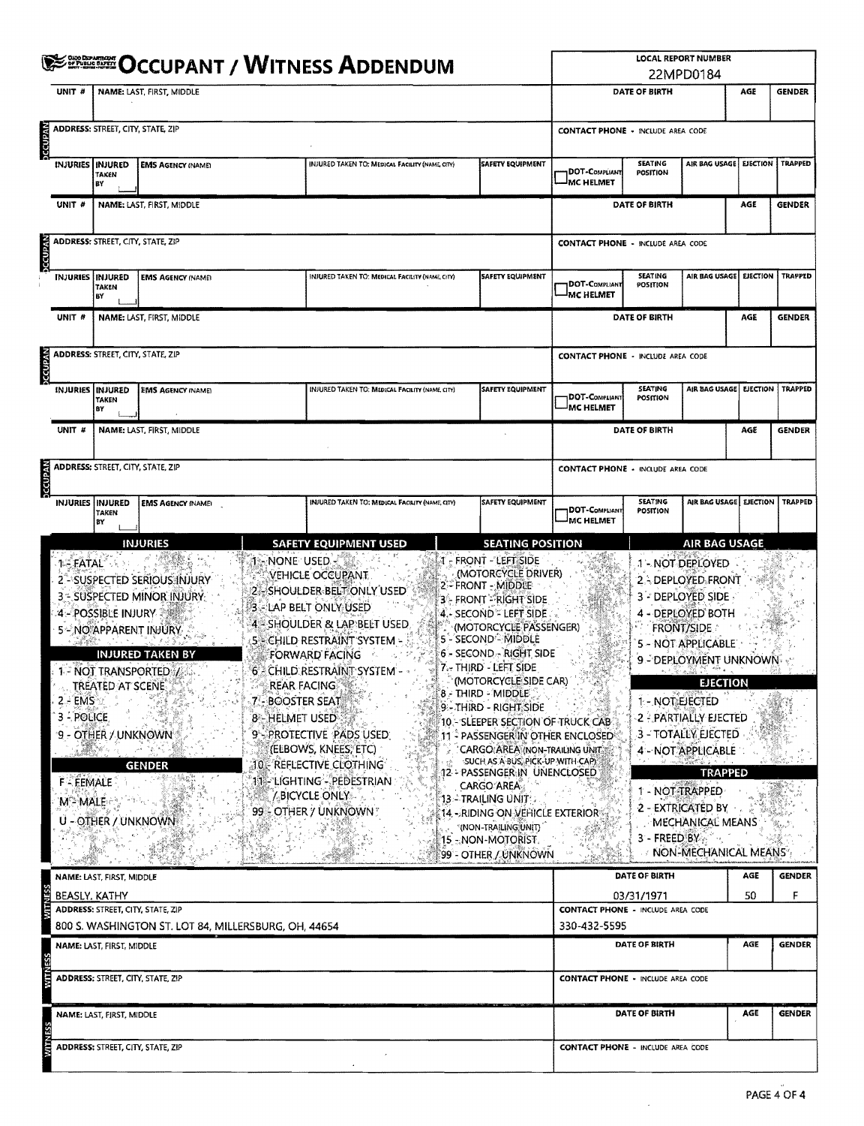|                                                                                           |                                                                                        |                                                                                                                                                        |                                                           | <b>WITH ALSO AND ART AND ASSESS ADDENDUM</b>                                                                                                                                                                                                                                                                                                                                  |                                                                                                                                                                                                                                                                                                                                                                                                                                                                                                                                                                                                                                                                                |                                           |                                   | <b>LOCAL REPORT NUMBER</b><br>22MPD0184                                                                                                                                                                                                                                                                                                              |           |                    |
|-------------------------------------------------------------------------------------------|----------------------------------------------------------------------------------------|--------------------------------------------------------------------------------------------------------------------------------------------------------|-----------------------------------------------------------|-------------------------------------------------------------------------------------------------------------------------------------------------------------------------------------------------------------------------------------------------------------------------------------------------------------------------------------------------------------------------------|--------------------------------------------------------------------------------------------------------------------------------------------------------------------------------------------------------------------------------------------------------------------------------------------------------------------------------------------------------------------------------------------------------------------------------------------------------------------------------------------------------------------------------------------------------------------------------------------------------------------------------------------------------------------------------|-------------------------------------------|-----------------------------------|------------------------------------------------------------------------------------------------------------------------------------------------------------------------------------------------------------------------------------------------------------------------------------------------------------------------------------------------------|-----------|--------------------|
| UNIT <sub>#</sub>                                                                         |                                                                                        | NAME: LAST, FIRST, MIDDLE                                                                                                                              |                                                           |                                                                                                                                                                                                                                                                                                                                                                               |                                                                                                                                                                                                                                                                                                                                                                                                                                                                                                                                                                                                                                                                                |                                           | DATE OF BIRTH                     |                                                                                                                                                                                                                                                                                                                                                      | AGE       | <b>GENDER</b>      |
| <b>AVANDJC</b>                                                                            | ADDRESS: STREET, CITY, STATE, ZIP                                                      |                                                                                                                                                        |                                                           |                                                                                                                                                                                                                                                                                                                                                                               |                                                                                                                                                                                                                                                                                                                                                                                                                                                                                                                                                                                                                                                                                | <b>CONTACT PHONE - INCLUDE AREA CODE</b>  |                                   |                                                                                                                                                                                                                                                                                                                                                      |           |                    |
| INJURIES   INJURED                                                                        | TAKEN<br>ВY                                                                            | <b>EMS AGENCY (NAME)</b>                                                                                                                               |                                                           | INJURED TAKEN TO: MEDICAL FACILITY (NAME, CITY)                                                                                                                                                                                                                                                                                                                               | <b>SAFETY EQUIPMENT</b>                                                                                                                                                                                                                                                                                                                                                                                                                                                                                                                                                                                                                                                        | <b>DOT-COMPLIANT</b><br>MC HELMET         | <b>SLATING</b><br><b>POSITION</b> | AIR BAG USAGE EJECTION                                                                                                                                                                                                                                                                                                                               |           | TRAPPED            |
| UNIT #                                                                                    |                                                                                        | NAME: LAST, FIRST, MIDDLE                                                                                                                              |                                                           |                                                                                                                                                                                                                                                                                                                                                                               |                                                                                                                                                                                                                                                                                                                                                                                                                                                                                                                                                                                                                                                                                |                                           | DATE OF BIRTH                     |                                                                                                                                                                                                                                                                                                                                                      | AGE       | <b>GENDER</b>      |
| <b>DCCUPAN</b>                                                                            | ADDRESS: STREET, CITY, STATE, ZIP                                                      |                                                                                                                                                        |                                                           |                                                                                                                                                                                                                                                                                                                                                                               |                                                                                                                                                                                                                                                                                                                                                                                                                                                                                                                                                                                                                                                                                | <b>CONTACT PHONE - INCLUDE AREA CODE</b>  |                                   |                                                                                                                                                                                                                                                                                                                                                      |           |                    |
|                                                                                           | <b>INJURIES INJURED</b><br><b>TAKEN</b><br>BY                                          | <b>EMS AGENCY (NAME)</b>                                                                                                                               |                                                           | INJURED TAKEN TO: MEDICAL FACILITY (NAME, CITY)                                                                                                                                                                                                                                                                                                                               | SAFETY EQUIPMENT                                                                                                                                                                                                                                                                                                                                                                                                                                                                                                                                                                                                                                                               | <b>DOT-COMPLIANT</b><br><b>IMC HELMET</b> | <b>SEATING</b><br>POSITION        | AIR BAG USAGE                                                                                                                                                                                                                                                                                                                                        | EJECTION  | <b>TRAPPED</b>     |
| UNIT <sub>#</sub>                                                                         |                                                                                        | NAME: LAST, FIRST, MIDDLE                                                                                                                              |                                                           |                                                                                                                                                                                                                                                                                                                                                                               |                                                                                                                                                                                                                                                                                                                                                                                                                                                                                                                                                                                                                                                                                |                                           | <b>DATE OF BIRTH</b>              |                                                                                                                                                                                                                                                                                                                                                      | AGE       | <b>GENDER</b>      |
| <b>DECUPAN</b>                                                                            | ADDRESS: STREET, CITY, STATE, ZIP                                                      |                                                                                                                                                        |                                                           |                                                                                                                                                                                                                                                                                                                                                                               |                                                                                                                                                                                                                                                                                                                                                                                                                                                                                                                                                                                                                                                                                | <b>CONTACT PHONE - INCLUDE AREA CODE</b>  |                                   |                                                                                                                                                                                                                                                                                                                                                      |           |                    |
|                                                                                           | <b>INJURIES INJURED</b><br>TAKEN<br>BY                                                 | <b>EMS AGENCY (NAME)</b>                                                                                                                               |                                                           | INJURED TAKEN TO: MEDICAL FACILITY (NAME, CITY)                                                                                                                                                                                                                                                                                                                               | <b>SAFETY EQUIPMENT</b>                                                                                                                                                                                                                                                                                                                                                                                                                                                                                                                                                                                                                                                        | DOT-Compliant<br>MC HELMET                | SEATING<br>POSITION               | AIR BAG USAGE   EJECTION                                                                                                                                                                                                                                                                                                                             |           | TRAPPED            |
| UNIT #                                                                                    |                                                                                        | NAME: LAST, FIRST, MIDDLE                                                                                                                              |                                                           |                                                                                                                                                                                                                                                                                                                                                                               |                                                                                                                                                                                                                                                                                                                                                                                                                                                                                                                                                                                                                                                                                |                                           | DATE OF BIRTH                     |                                                                                                                                                                                                                                                                                                                                                      | AGE       | <b>GENDER</b>      |
| <b>DCCUPAN</b>                                                                            | ADDRESS: STREET, CITY, STATE, ZIP                                                      |                                                                                                                                                        |                                                           |                                                                                                                                                                                                                                                                                                                                                                               |                                                                                                                                                                                                                                                                                                                                                                                                                                                                                                                                                                                                                                                                                | <b>CONTACT PHONE - INCLUDE AREA CODE</b>  |                                   |                                                                                                                                                                                                                                                                                                                                                      |           |                    |
|                                                                                           | INJURIES INJURED<br>TAKEN<br>B٢                                                        | <b>EMS AGENCY (NAME)</b>                                                                                                                               |                                                           | <b>INJURED TAKEN TO: MEDICAL FACILITY (NAME, CITY)</b>                                                                                                                                                                                                                                                                                                                        | <b>SAFETY EQUIPMENT</b>                                                                                                                                                                                                                                                                                                                                                                                                                                                                                                                                                                                                                                                        | DOT-COMPLIANT<br><sup>I</sup> MC HELMET   | <b>SEATING</b><br>POSITION        | AIR BAG USAGE EJECTION                                                                                                                                                                                                                                                                                                                               |           | <b>TRAPPED</b>     |
|                                                                                           |                                                                                        | <b>INJURIES</b>                                                                                                                                        |                                                           | <b>SAFETY EQUIPMENT USED</b>                                                                                                                                                                                                                                                                                                                                                  | <b>SEATING POSITION</b>                                                                                                                                                                                                                                                                                                                                                                                                                                                                                                                                                                                                                                                        |                                           |                                   | <b>AIR BAG USAGE</b>                                                                                                                                                                                                                                                                                                                                 |           |                    |
| <b>1- FATAL</b><br>2 - EMS O<br>3 - POLICE<br><b>F-FEMALE</b><br><b>M<sup>2</sup>MALE</b> | 4 - POSSIBLE INJURY<br>TREATED AT SCENE.<br>9 - OTHER / UNKNOWN<br>U - OTHER / UNKNOWN | 2 SUSPECTED SERIOUS INJURY<br>3 - SUSPECTED MINOR INJURY<br>5 - NO APPARENT INJURY<br><b>INJURED TAKEN BY</b><br>1- NOT TRANSPORTED:/<br><b>GENDER</b> | ា - NONE USED -<br>- BOOSTER SEAT<br><b>8-HELMET USED</b> | VEHICLE OCCUPANT.<br>2 - SHOULDER BELT ONLY USED<br>3 - LAP BELT ONLY USED<br>4 - SHOULDER & LAP BELT USED<br>5 CHILD RESTRAINT SYSTEM -<br>FORWARD FACING<br>6 - CHILD RESTRAINT SYSTEM -<br>REAR FACING<br>9 - PROTECTIVE PADS USED<br>(ELBOWS, KNEES, ETC)<br>10 - RÉFLECTIVE CLOTHING<br>11- LIGHTING - PEDESTRIAN<br>$\frac{1}{2}$ BICYCLE ONLY<br>99 - OTHER / UNKNOWN? | 4 - FRONT - LEFT SIDE<br>(MOTORCYCLE DRIVER)<br>2 - FRONT - MIDDLE<br>3 - FRONT - RIGHT SIDE<br>$4 - \text{SECOND} \times \text{LEFT SIDE}$<br>(MOTORCYCLE PASSENGER)<br>5 - SECOND - MIDDLE<br>6 - SECOND - RIGHT SIDE<br>7. THIRD - LEFT SIDE<br>(MOTORCYCLE SIDE CAR)<br>8 - THIRD - MIDDLE<br>9 - THIRD - RIGHT SIDE<br>10 - SLEEPER SECTION OF TRUCK CAB<br>11 - PASSENGER IN OTHER ENCLOSED<br>CARGO AREA (NON-TRAILING UNIT<br>SUCH AS A BUS, PICK-UP WITH CAP)<br>12 - PASSENGER IN UNENCLOSED<br><b>CARGO AREA:</b><br>13 - TRAILING UNIT :<br>$14$ - Riding on vehicle exterior $\overline{a}$<br>"(NON-TRAILING UNIT)<br>15 - NON-MOTORIST.<br>99 - OTHER / UNKNOWN |                                           | 1 - NOT TRAPPED<br>$3 -$ FREED BY | 1 - NOT DEPLOYED<br>2 - DEPLOYED FRONT<br>3 - DEPLOYED SIDE<br>4 - DEPLOYED BOTH<br><b>FRONT/SIDE</b><br>5 - NOT APPLICABLE<br>9 - DEPLOYMENT UNKNOWN<br><b>EJECTION</b><br>1 - NOT EJECTED<br>2 - PARTIALLY EJECTED<br>3 - TOTALLY EJECTED<br>4 - NOT APPLICABLE<br><b>TRAPPED</b><br>2 - EXTRICATED BY<br>MECHANICAL MEANS<br>NON-MECHANICAL MEANS |           |                    |
|                                                                                           | NAME: LAST, FIRST, MIDDLE<br>BEASLY, KATHY                                             |                                                                                                                                                        |                                                           |                                                                                                                                                                                                                                                                                                                                                                               |                                                                                                                                                                                                                                                                                                                                                                                                                                                                                                                                                                                                                                                                                |                                           | DATE OF BIRTH<br>03/31/1971       |                                                                                                                                                                                                                                                                                                                                                      | AGE<br>50 | <b>GENDER</b><br>F |
|                                                                                           | ADDRESS: STREET, CITY, STATE, ZIP                                                      |                                                                                                                                                        |                                                           |                                                                                                                                                                                                                                                                                                                                                                               |                                                                                                                                                                                                                                                                                                                                                                                                                                                                                                                                                                                                                                                                                | <b>CONTACT PHONE - INCLUDE AREA CODE</b>  |                                   |                                                                                                                                                                                                                                                                                                                                                      |           |                    |
|                                                                                           | NAME: LAST, FIRST, MIDDLE                                                              | 800 S. WASHINGTON ST. LOT 84, MILLERSBURG, OH, 44654                                                                                                   |                                                           |                                                                                                                                                                                                                                                                                                                                                                               |                                                                                                                                                                                                                                                                                                                                                                                                                                                                                                                                                                                                                                                                                | 330-432-5595                              | DATE OF BIRTH                     |                                                                                                                                                                                                                                                                                                                                                      | AGE       | <b>GENDER</b>      |
| WITN                                                                                      | ADDRESS: STREET, CITY, STATE, ZIP                                                      |                                                                                                                                                        |                                                           |                                                                                                                                                                                                                                                                                                                                                                               |                                                                                                                                                                                                                                                                                                                                                                                                                                                                                                                                                                                                                                                                                | <b>CONTACT PHONE - INCLUDE AREA CODE</b>  |                                   |                                                                                                                                                                                                                                                                                                                                                      |           |                    |
|                                                                                           | NAME: LAST, FIRST, MIDDLE                                                              |                                                                                                                                                        |                                                           |                                                                                                                                                                                                                                                                                                                                                                               |                                                                                                                                                                                                                                                                                                                                                                                                                                                                                                                                                                                                                                                                                |                                           | DATE OF BIRTH                     |                                                                                                                                                                                                                                                                                                                                                      | AGE       | <b>GENDER</b>      |
|                                                                                           | <b>ADDRESS: STREET, CITY, STATE, ZIP</b>                                               |                                                                                                                                                        |                                                           |                                                                                                                                                                                                                                                                                                                                                                               |                                                                                                                                                                                                                                                                                                                                                                                                                                                                                                                                                                                                                                                                                | <b>CONTACT PHONE - INCLUDE AREA CODE</b>  |                                   |                                                                                                                                                                                                                                                                                                                                                      |           |                    |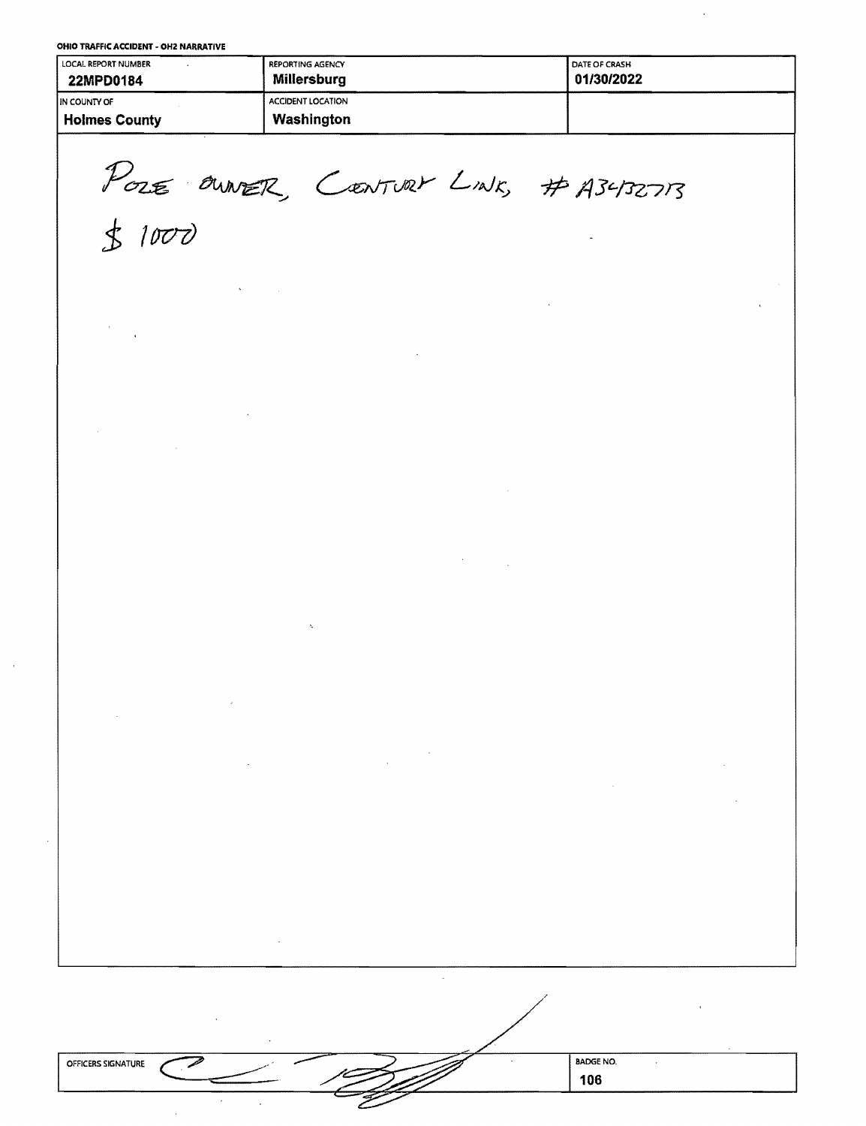OHIO TRAFFIC ACCIDENT - OH2 NARRATIVE

| LOCAL REPORT NUMBER<br>22MPD0184 | <b>REPORTING AGENCY</b><br>Millersburg | <b>I DATE OF CRASH</b><br>01/30/2022 |
|----------------------------------|----------------------------------------|--------------------------------------|
| <b>IIN COUNTY OF</b>             | <b>ACCIDENT LOCATION</b>               |                                      |
| <b>Holmes County</b>             | Washington                             |                                      |

POLE OWNER, CENTURY LINK, # A3432713

 $$1000$ 

| OFFICERS SIGNATURE | <b>BADGE NO.</b> |
|--------------------|------------------|
|                    | 106              |
| --                 |                  |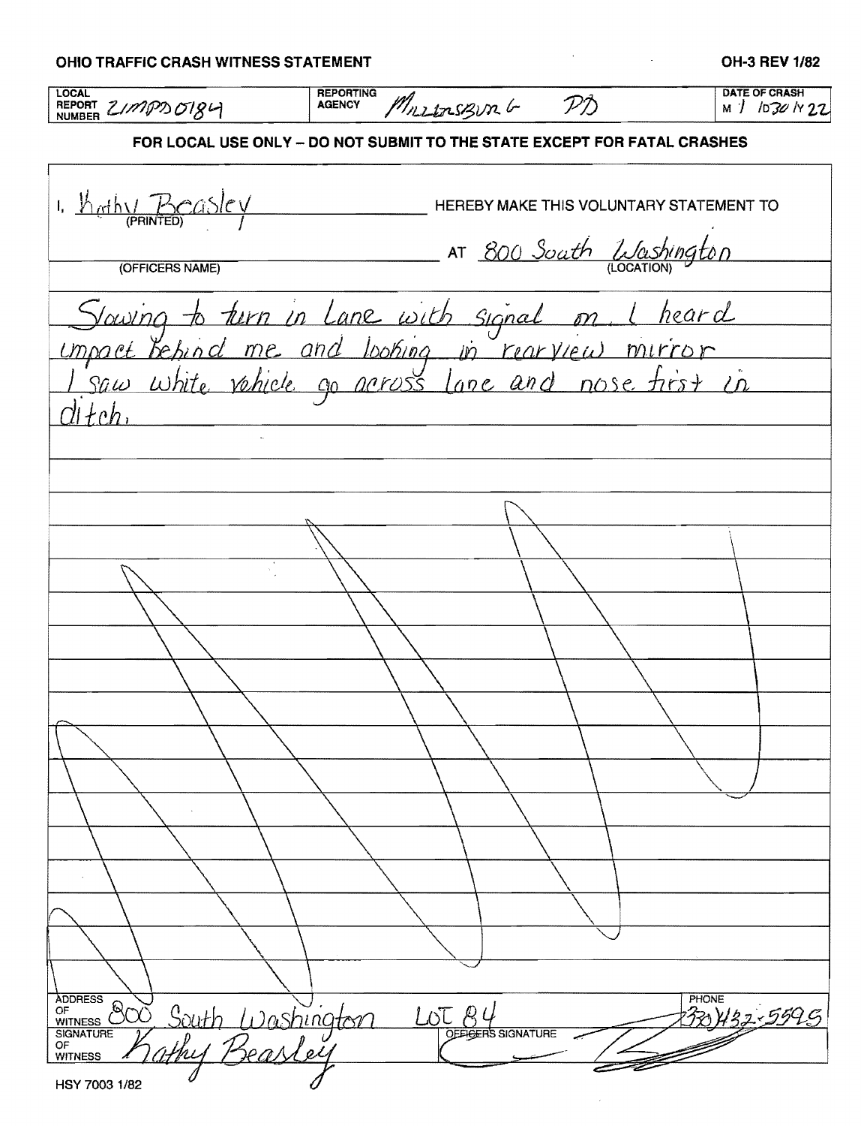| <b>OHIO TRAFFIC CRASH WITNESS STATEMENT</b>       |                                                                                                  |                         | OH-3 REV 1/82                         |
|---------------------------------------------------|--------------------------------------------------------------------------------------------------|-------------------------|---------------------------------------|
| <b>LOCAL</b><br>REPORT ZIMPD 0184                 | <b>REPORTING</b><br>Mrs 120 Sept PD<br><b>AGENCY</b>                                             |                         | <b>DATE OF CRASH</b><br>M / 1030 N 22 |
|                                                   | FOR LOCAL USE ONLY - DO NOT SUBMIT TO THE STATE EXCEPT FOR FATAL CRASHES                         |                         |                                       |
| 1. $rac{V_{\text{ref}}(x)}{P_{\text{RINTED}}(x)}$ | HEREBY MAKE THIS VOLUNTARY STATEMENT TO                                                          |                         |                                       |
| (OFFICERS NAME)                                   |                                                                                                  | AT 800 Soath Washington |                                       |
|                                                   |                                                                                                  |                         |                                       |
|                                                   | Sowing to turn in Lane with signal on I heard<br>umpact behind me and looking in rearview mirror |                         |                                       |
|                                                   |                                                                                                  |                         |                                       |
|                                                   |                                                                                                  |                         |                                       |
|                                                   |                                                                                                  |                         |                                       |
|                                                   |                                                                                                  |                         |                                       |
|                                                   |                                                                                                  |                         |                                       |
|                                                   |                                                                                                  |                         |                                       |
|                                                   |                                                                                                  |                         |                                       |
|                                                   |                                                                                                  |                         |                                       |
|                                                   |                                                                                                  |                         |                                       |
|                                                   |                                                                                                  |                         |                                       |
|                                                   |                                                                                                  |                         |                                       |
|                                                   |                                                                                                  |                         |                                       |
|                                                   |                                                                                                  |                         |                                       |
|                                                   |                                                                                                  |                         |                                       |
| <b>ADDRESS</b><br>NODRESS 800 South Washington    | $\underbrace{LOT}_{\text{QEE}\oplus\text{ER}} Q$<br><b>RS SIGNATURE</b>                          | PHONE                   | 132-5595                              |
| HSY 7003 1/82                                     |                                                                                                  |                         |                                       |

 $\mathcal{L}^{\text{max}}_{\text{max}}$ 

|  |  | OHIO TRAFFIC CRASH WITNESS STATEMENT |  |
|--|--|--------------------------------------|--|